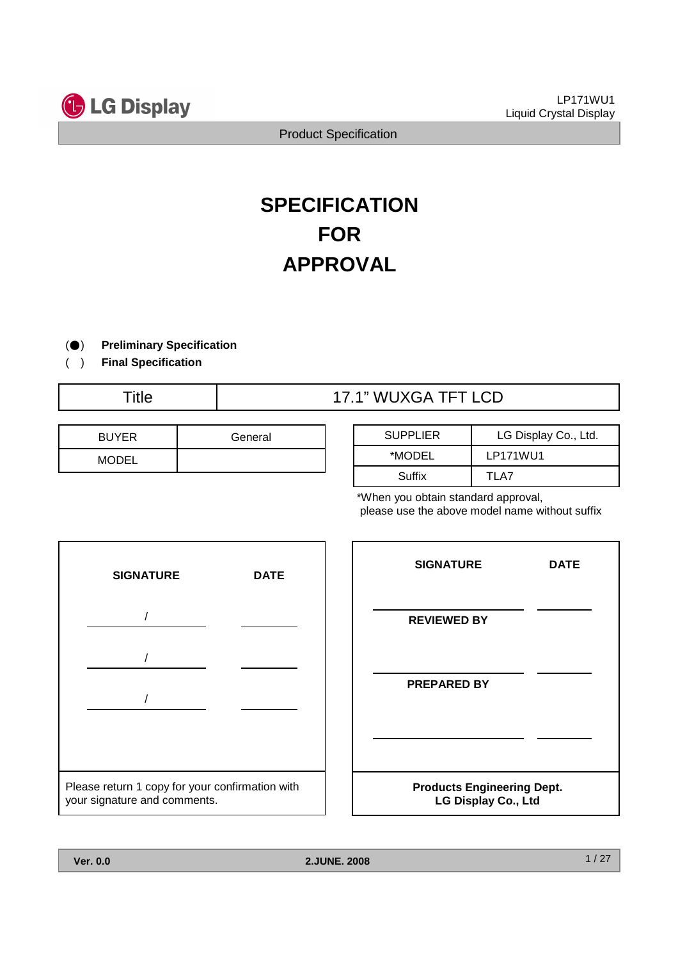

# **SPECIFICATION FOR APPROVAL**

- ) ( **Preliminary Specification**
- ) ( **Final Specification**

# Title  $\overline{17.1}$ " WUXGA TFT LCD

| <b>BUYER</b> | General |
|--------------|---------|
| <b>MODEL</b> |         |

| <b>SUPPLIER</b> | LG Display Co., Ltd. |
|-----------------|----------------------|
| *MODEL          | LP171WU1             |
| Suffix          | TI A7                |

\*When you obtain standard approval, please use the above model name without suffix



| <b>SIGNATURE</b>                                         | <b>DATE</b> |  |  |
|----------------------------------------------------------|-------------|--|--|
| <b>REVIEWED BY</b>                                       |             |  |  |
| <b>PREPARED BY</b>                                       |             |  |  |
|                                                          |             |  |  |
| <b>Products Engineering Dept.</b><br>LG Display Co., Ltd |             |  |  |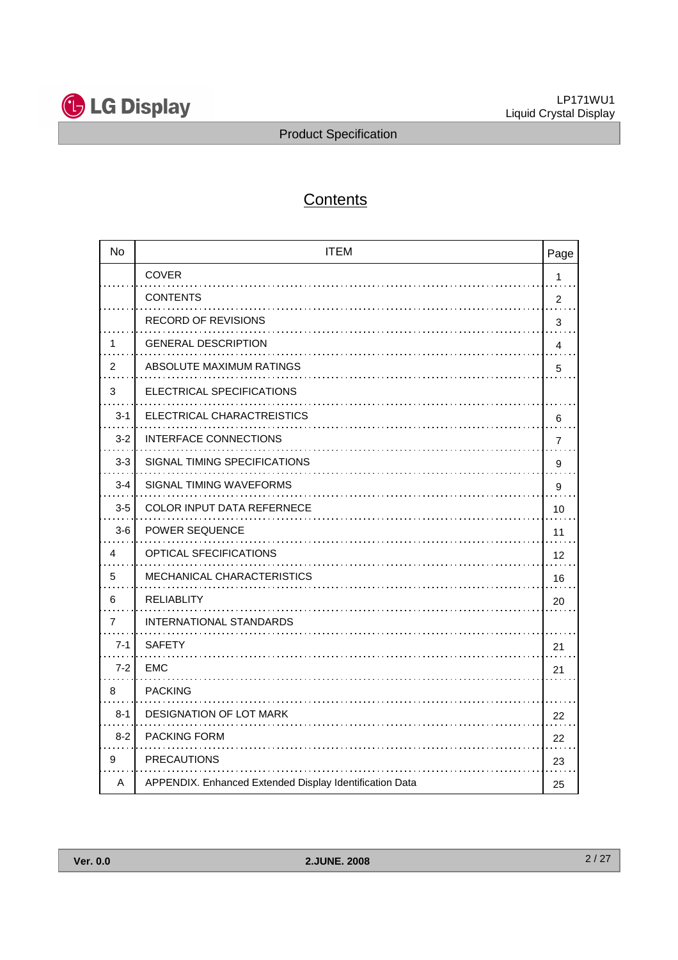

# **Contents**

| <b>No</b>      | <b>ITEM</b><br>Page                                     |                |  |  |
|----------------|---------------------------------------------------------|----------------|--|--|
|                | COVER                                                   | 1              |  |  |
|                | <b>CONTENTS</b>                                         | 2              |  |  |
|                | <b>RECORD OF REVISIONS</b>                              | 3              |  |  |
| 1              | <b>GENERAL DESCRIPTION</b>                              | 4              |  |  |
| 2              | ABSOLUTE MAXIMUM RATINGS                                | 5              |  |  |
| 3              | ELECTRICAL SPECIFICATIONS                               |                |  |  |
| $3 - 1$        | ELECTRICAL CHARACTREISTICS                              | 6              |  |  |
| $3 - 2$        | INTERFACE CONNECTIONS                                   | $\overline{7}$ |  |  |
| $3-3$          | SIGNAL TIMING SPECIFICATIONS                            | 9              |  |  |
| $3 - 4$        | SIGNAL TIMING WAVEFORMS                                 | 9              |  |  |
| $3-5$          | <b>COLOR INPUT DATA REFERNECE</b>                       | 10             |  |  |
| $3-6$          | POWER SEQUENCE                                          | 11             |  |  |
| 4              | <b>OPTICAL SFECIFICATIONS</b>                           | 12             |  |  |
| 5              | MECHANICAL CHARACTERISTICS                              | 16             |  |  |
| 6              | <b>RELIABLITY</b>                                       | 20             |  |  |
| $\overline{7}$ | INTERNATIONAL STANDARDS                                 |                |  |  |
| $7 - 1$        | <b>SAFETY</b>                                           | 21             |  |  |
| $7 - 2$        | <b>EMC</b>                                              | 21             |  |  |
| 8              | <b>PACKING</b>                                          |                |  |  |
| $8 - 1$        | <b>DESIGNATION OF LOT MARK</b>                          | 22             |  |  |
| $8 - 2$        | <b>PACKING FORM</b>                                     | 22             |  |  |
| 9              | <b>PRECAUTIONS</b>                                      | 23             |  |  |
| A              | APPENDIX. Enhanced Extended Display Identification Data | 25             |  |  |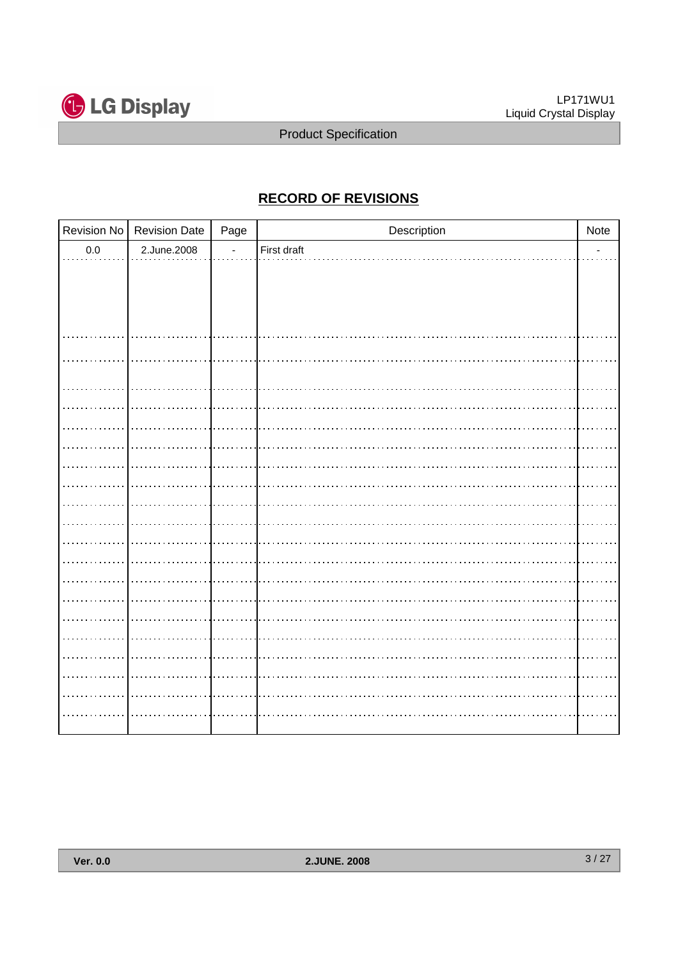

# **RECORD OF REVISIONS**

|         | Revision No   Revision Date | Page           | Description |                          |
|---------|-----------------------------|----------------|-------------|--------------------------|
| $0.0\,$ | 2.June.2008                 | $\blacksquare$ | First draft | $\overline{\phantom{0}}$ |
|         |                             |                |             |                          |
|         |                             |                |             |                          |
|         |                             |                |             |                          |
|         |                             |                |             |                          |
|         |                             |                |             |                          |
|         |                             |                |             |                          |
|         |                             |                |             |                          |
|         |                             |                |             |                          |
|         |                             |                |             |                          |
|         |                             |                |             |                          |
|         |                             |                |             |                          |
|         |                             |                |             |                          |
|         |                             |                |             |                          |
|         |                             |                |             |                          |
|         |                             |                |             |                          |
|         |                             |                |             |                          |
|         |                             |                |             |                          |
|         |                             |                |             |                          |
|         |                             |                |             |                          |
|         |                             |                |             |                          |
|         |                             |                |             |                          |
|         |                             |                |             |                          |
|         |                             |                |             |                          |
|         |                             |                |             |                          |
|         |                             |                |             |                          |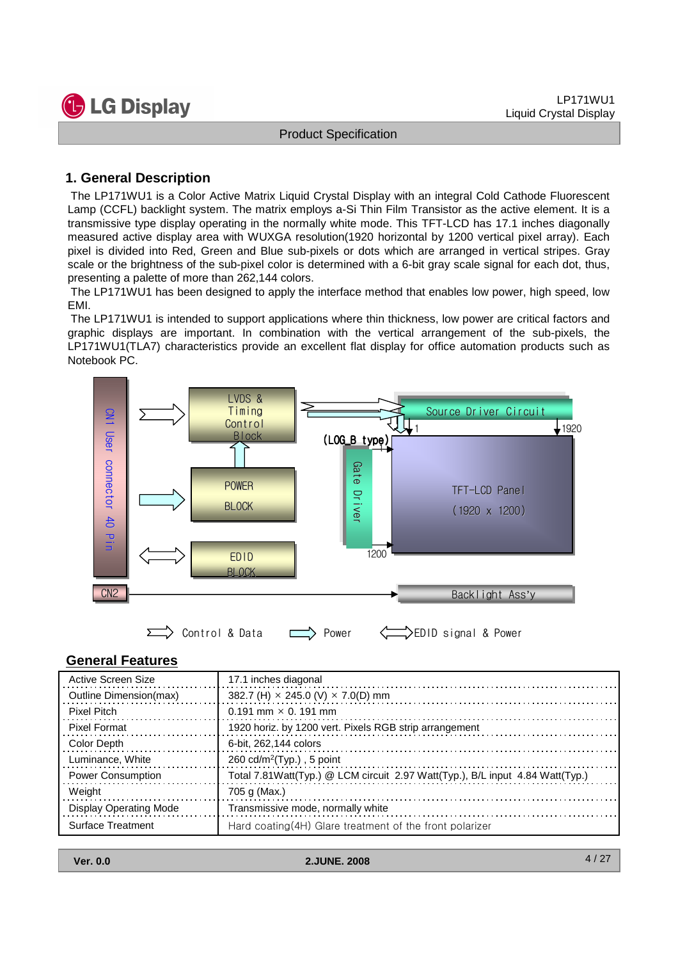

#### **1. General Description**

The LP171WU1 is a Color Active Matrix Liquid Crystal Display with an integral Cold Cathode Fluorescent Lamp (CCFL) backlight system. The matrix employs a-Si Thin Film Transistor as the active element. It is a transmissive type display operating in the normally white mode. This TFT-LCD has 17.1 inches diagonally measured active display area with WUXGA resolution(1920 horizontal by 1200 vertical pixel array). Each pixel is divided into Red, Green and Blue sub-pixels or dots which are arranged in vertical stripes. Gray scale or the brightness of the sub-pixel color is determined with a 6-bit gray scale signal for each dot, thus, presenting a palette of more than 262,144 colors.

The LP171WU1 has been designed to apply the interface method that enables low power, high speed, low EMI.

The LP171WU1 is intended to support applications where thin thickness, low power are critical factors and graphic displays are important. In combination with the vertical arrangement of the sub-pixels, the LP171WU1(TLA7) characteristics provide an excellent flat display for office automation products such as Notebook PC.



#### **General Features**

| Active Screen Size            | 17.1 inches diagonal                                                           |
|-------------------------------|--------------------------------------------------------------------------------|
| Outline Dimension(max)        | 382.7 (H) $\times$ 245.0 (V) $\times$ 7.0(D) mm                                |
| Pixel Pitch                   | $0.191$ mm $\times$ 0.191 mm                                                   |
| Pixel Format                  | 1920 horiz. by 1200 vert. Pixels RGB strip arrangement                         |
| Color Depth                   | 6-bit, 262,144 colors                                                          |
| Luminance, White              | $260 \text{ cd/m}^2$ (Typ.), 5 point                                           |
| <b>Power Consumption</b>      | Total 7.81 Watt(Typ.) @ LCM circuit 2.97 Watt(Typ.), B/L input 4.84 Watt(Typ.) |
| Weight                        | 705 g (Max.)                                                                   |
| <b>Display Operating Mode</b> | Transmissive mode, normally white                                              |
| Surface Treatment             | Hard coating(4H) Glare treatment of the front polarizer                        |

| <b>Ver. 0.0</b> |  |
|-----------------|--|
|                 |  |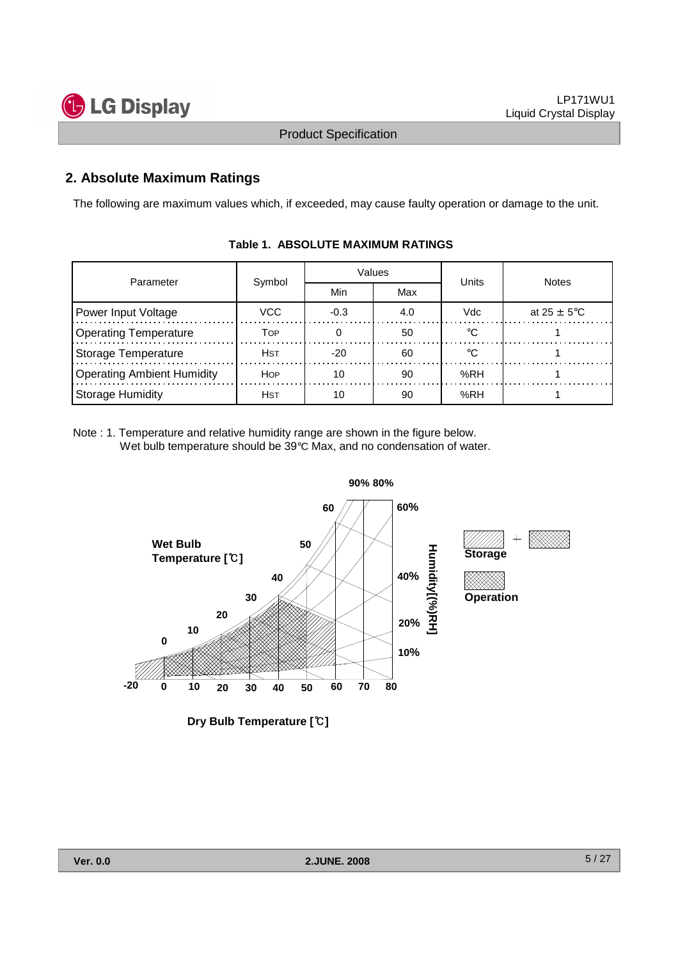



#### **2. Absolute Maximum Ratings**

The following are maximum values which, if exceeded, may cause faulty operation or damage to the unit.

| Parameter                         | Symbol      |        | Values | Units | <b>Notes</b>            |  |
|-----------------------------------|-------------|--------|--------|-------|-------------------------|--|
|                                   |             | Min    | Max    |       |                         |  |
| Power Input Voltage               | VCC         | $-0.3$ | 4.0    | Vdc   | at $25 \pm 5^{\circ}$ C |  |
| <b>Operating Temperature</b>      | Тор         |        | 50     |       |                         |  |
| Storage Temperature               | Hst         | $-20$  | 60     |       |                         |  |
| <b>Operating Ambient Humidity</b> | <b>HOP</b>  | 10     | 90     | %RH   |                         |  |
| <b>Storage Humidity</b>           | <b>H</b> st | 10     | 90     | %RH   |                         |  |

#### **Table 1. ABSOLUTE MAXIMUM RATINGS**

Note : 1. Temperature and relative humidity range are shown in the figure below. Wet bulb temperature should be 39°C Max, and no condensation of water.



**Dry Bulb Temperature [**℃**]**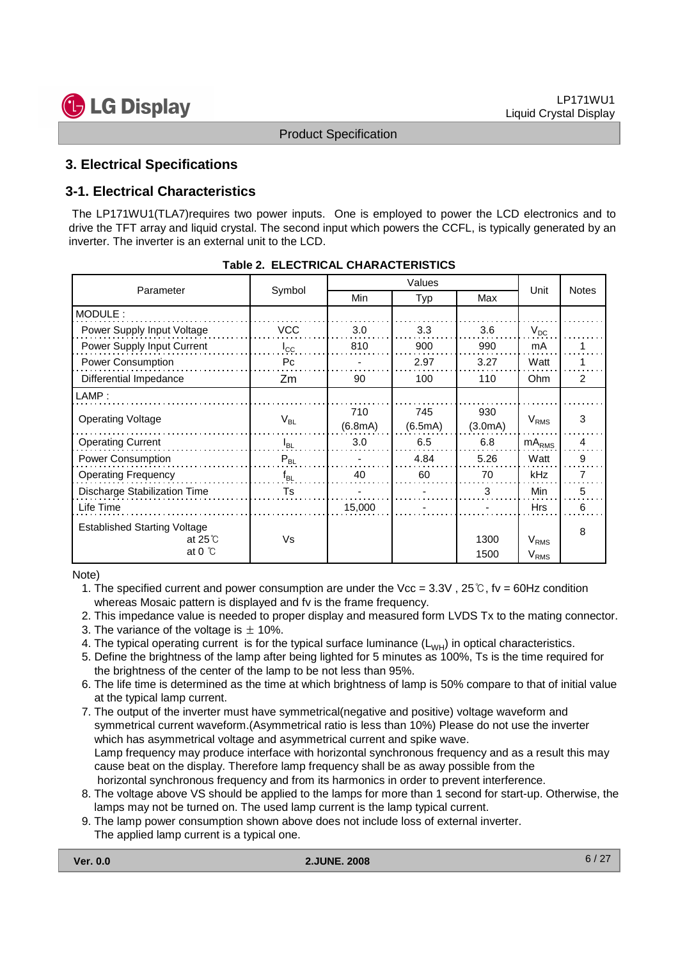

#### **3. Electrical Specifications**

#### **3-1. Electrical Characteristics**

The LP171WU1(TLA7)requires two power inputs. One is employed to power the LCD electronics and to drive the TFT array and liquid crystal. The second input which powers the CCFL, is typically generated by an inverter. The inverter is an external unit to the LCD.

|                                                        |              | Values  |         |         |            |              |
|--------------------------------------------------------|--------------|---------|---------|---------|------------|--------------|
| Parameter                                              | Symbol       | Min     | Typ     | Max     | Unit       | <b>Notes</b> |
| MODULE:                                                |              |         |         |         |            |              |
| Power Supply Input Voltage                             | <b>VCC</b>   | 3.0     | 3.3     | 3.6     | $V_{DC}$   |              |
| Power Supply Input Current                             | $I_{\rm CC}$ | 810     | 900     | 990     | mA         |              |
| <b>Power Consumption</b>                               | Pc           |         | 2.97    | 3.27    | Watt       |              |
| Differential Impedance                                 | Zm           | 90      | 100     | 110     | <b>Ohm</b> | 2            |
| LAMP:                                                  |              |         |         |         |            |              |
| <b>Operating Voltage</b>                               |              | 710     | 745     | 930     | $V_{RMS}$  | 3            |
|                                                        | $V_{BL}$     | (6.8mA) | (6.5mA) | (3.0mA) |            |              |
| <b>Operating Current</b>                               | $I_{BL}$     | 3.0     | 6.5     | 6.8     | $mA_{RMS}$ | 4            |
| Power Consumption                                      | $P_{BL}$     |         | 4.84    | 5.26    | Watt       | 9            |
| <b>Operating Frequency</b>                             | $f_{BL}$     | 40      | 60      | 70      | kHz        | 7            |
| Discharge Stabilization Time                           | Ts           |         |         | 3       | Min        | 5            |
| Life Time                                              |              | 15,000  |         |         | <b>Hrs</b> | 6            |
| <b>Established Starting Voltage</b><br>at $25^\circ$ C | Vs           |         |         | 1300    | $V_{RMS}$  | 8            |
| at 0 $\degree$ C                                       |              |         |         | 1500    | $V_{RMS}$  |              |

|  | Table 2. ELECTRICAL CHARACTERISTICS |
|--|-------------------------------------|
|--|-------------------------------------|

Note)

1. The specified current and power consumption are under the Vcc =  $3.3V$ ,  $25°C$ , fv = 60Hz condition whereas Mosaic pattern is displayed and fv is the frame frequency.

2. This impedance value is needed to proper display and measured form LVDS Tx to the mating connector.

- 3. The variance of the voltage is  $\pm$  10%.
- 4. The typical operating current is for the typical surface luminance  $(L_{WH})$  in optical characteristics.
- 5. Define the brightness of the lamp after being lighted for 5 minutes as 100%, Ts is the time required for the brightness of the center of the lamp to be not less than 95%.
- 6. The life time is determined as the time at which brightness of lamp is 50% compare to that of initial value at the typical lamp current.
- 7. The output of the inverter must have symmetrical(negative and positive) voltage waveform and symmetrical current waveform.(Asymmetrical ratio is less than 10%) Please do not use the inverter which has asymmetrical voltage and asymmetrical current and spike wave. Lamp frequency may produce interface with horizontal synchronous frequency and as a result this may cause beat on the display. Therefore lamp frequency shall be as away possible from the horizontal synchronous frequency and from its harmonics in order to prevent interference.
- 8. The voltage above VS should be applied to the lamps for more than 1 second for start-up. Otherwise, the lamps may not be turned on. The used lamp current is the lamp typical current.
- 9. The lamp power consumption shown above does not include loss of external inverter. The applied lamp current is a typical one.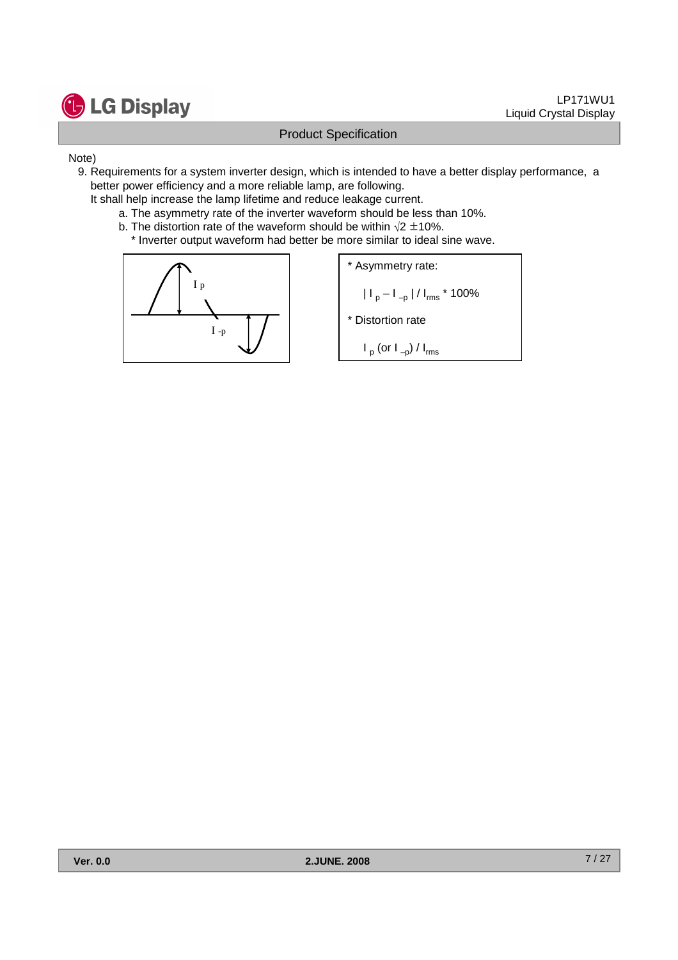

#### Note)

- 9. Requirements for a system inverter design, which is intended to have a better display performance, a better power efficiency and a more reliable lamp, are following.
	- It shall help increase the lamp lifetime and reduce leakage current.
		- a. The asymmetry rate of the inverter waveform should be less than 10%.
		- b. The distortion rate of the waveform should be within  $\sqrt{2} \pm 10\%$ .
			- \* Inverter output waveform had better be more similar to ideal sine wave.



\* Asymmetry rate:  
\n
$$
|I_p - I_{-p}| / I_{rms} * 100\%
$$

\* Distortion rate

 $I_{\sf p}$  (or  $I_{\sf -p}$ ) /  $I_{\sf rms}$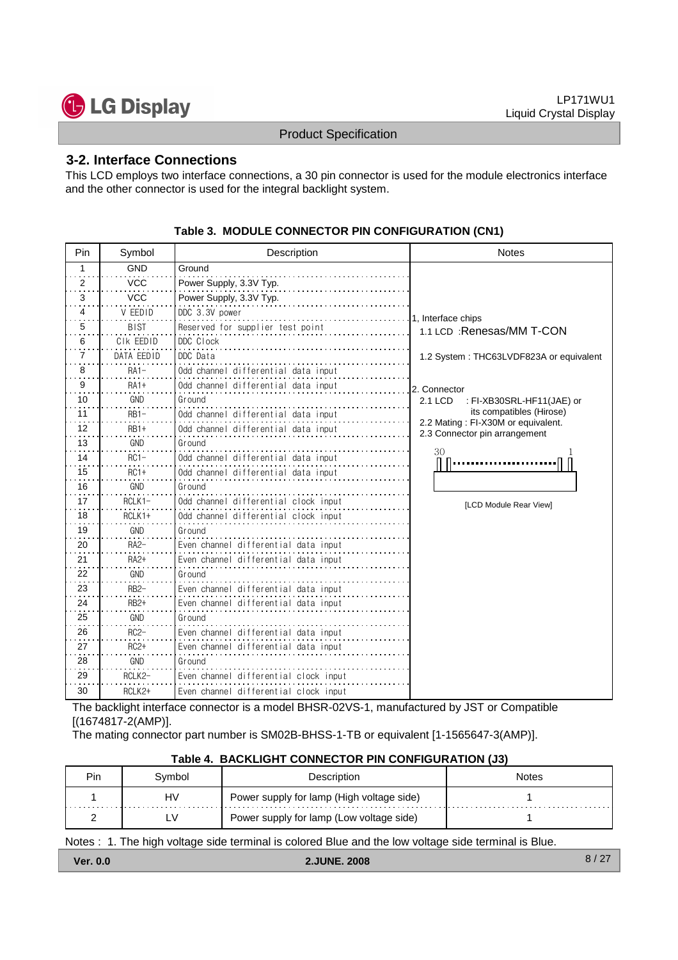

#### **3-2. Interface Connections**

This LCD employs two interface connections, a 30 pin connector is used for the module electronics interface and the other connector is used for the integral backlight system.

| Pin            | Symbol           | Description                           | <b>Notes</b>                                                        |
|----------------|------------------|---------------------------------------|---------------------------------------------------------------------|
| 1              | <b>GND</b>       | Ground                                |                                                                     |
| 2              | <b>VCC</b>       | Power Supply, 3.3V Typ.               |                                                                     |
| i.<br>3        | <b>VCC</b>       | Power Supply, 3.3V Typ.               |                                                                     |
| 4              | V FFDID          | DDC 3.3V power                        | 1, Interface chips                                                  |
| 5              | <b>BIST</b>      | Reserved for supplier test point      | 1.1 LCD : Renesas/MM T-CON                                          |
| 6              | CIK EEDID        | DDC Clock                             |                                                                     |
| 7              | DATA EEDID       | DDC Data                              | 1.2 System: THC63LVDF823A or equivalent                             |
| 8              | $RA1-$           | Odd channel differential data input   |                                                                     |
| 9              | <b>RA1+</b>      | Odd channel differential data input   | 2. Connector                                                        |
| 10             | GND              | Ground                                | 2.1 LCD<br>: FI-XB30SRL-HF11(JAE) or                                |
| 11             | $RB1-$           | Odd channel differential data input   | its compatibles (Hirose)                                            |
| 12             | $RB1+$           | Odd channel differential data input   | 2.2 Mating: FI-X30M or equivalent.<br>2.3 Connector pin arrangement |
| 13             | GND              | Ground                                |                                                                     |
| 14             | $RC1-$           | Odd channel differential data input   | 30                                                                  |
| 15<br>$\cdots$ | $RC1+$           | Odd channel differential data input   |                                                                     |
| 16             | <b>GND</b>       | Ground                                |                                                                     |
| 17             | $RCLK1 -$        | Odd channel differential clock input  | [LCD Module Rear View]                                              |
| 18             | RCLK1+           | Odd channel differential clock input  |                                                                     |
| 19             | <b>GND</b>       | Ground                                |                                                                     |
| 20<br>$\sim$   | $RA2-$           | Even channel differential data input  |                                                                     |
| 21             | $RA2+$           | Even channel differential data input  |                                                                     |
| 22             | <b>GND</b>       | Ground                                |                                                                     |
| 23             | $RB2-$           | Even channel differential data input  |                                                                     |
| 24             | RB <sub>2+</sub> | Even channel differential data input  |                                                                     |
| 25             | <b>GND</b>       | Ground                                |                                                                     |
| 26             | $RC2-$           | Even channel differential data input  |                                                                     |
| 27             | $RC2+$           | Even channel differential data input  |                                                                     |
| 28             | GND              | Ground                                |                                                                     |
| 29             | RCLK2-           | Even channel differential clock input |                                                                     |
| 30             | RCLK2+           | Even channel differential clock input |                                                                     |

**Table 3. MODULE CONNECTOR PIN CONFIGURATION (CN1)**

The backlight interface connector is a model BHSR-02VS-1, manufactured by JST or Compatible [(1674817-2(AMP)].

The mating connector part number is SM02B-BHSS-1-TB or equivalent [1-1565647-3(AMP)].

| ivmbol | Description                               | Notes |
|--------|-------------------------------------------|-------|
| HV     | Power supply for lamp (High voltage side) |       |
|        | Power supply for lamp (Low voltage side)  |       |

#### **Table 4. BACKLIGHT CONNECTOR PIN CONFIGURATION (J3)**

Notes : 1. The high voltage side terminal is colored Blue and the low voltage side terminal is Blue.

**Ver. 0.0 2.JUNE. 2008**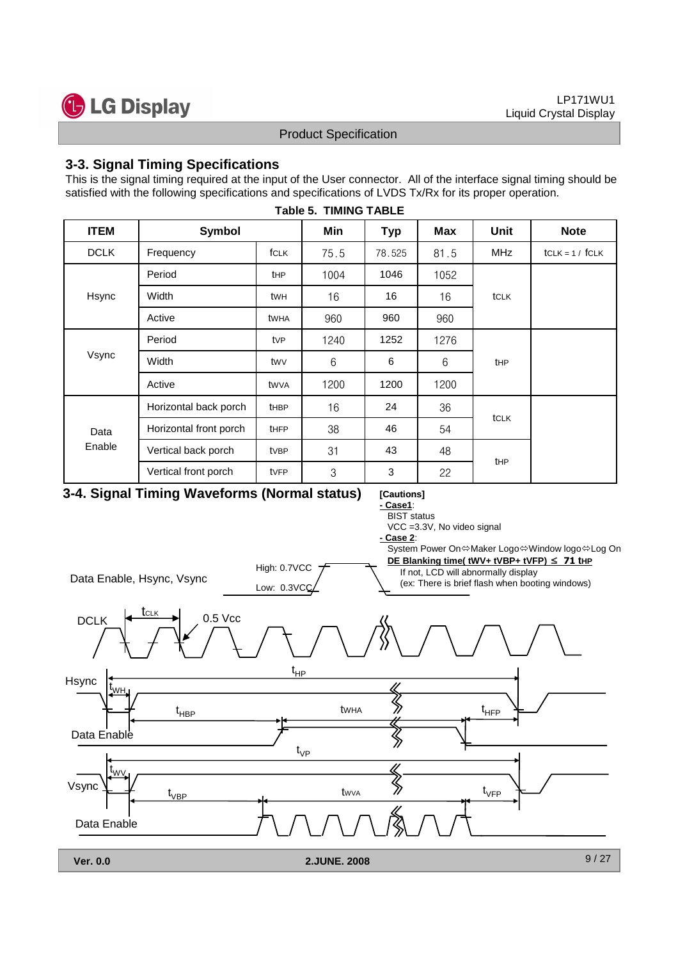

#### **3-3. Signal Timing Specifications**

This is the signal timing required at the input of the User connector. All of the interface signal timing should be satisfied with the following specifications and specifications of LVDS Tx/Rx for its proper operation.

| <b>ITEM</b> | Symbol                 |                 | Min  | <b>Typ</b> | <b>Max</b> | Unit        | <b>Note</b>       |
|-------------|------------------------|-----------------|------|------------|------------|-------------|-------------------|
| <b>DCLK</b> | Frequency              | fCLK            | 75.5 | 78.525     | 81.5       | <b>MHz</b>  | $tCLK = 1 / fCLK$ |
|             | Period                 | <b>tHP</b>      | 1004 | 1046       | 1052       |             |                   |
| Hsync       | Width                  | twн             | 16   | 16         | 16         | tCLK        |                   |
|             | Active                 | twha            | 960  | 960        | 960        |             |                   |
|             | Period                 | tv <sub>P</sub> | 1240 | 1252       | 1276       |             |                   |
| Vsync       | Width                  | twv             | 6    | 6          | 6          | <b>tHP</b>  |                   |
|             | Active                 | twya            | 1200 | 1200       | 1200       |             |                   |
|             | Horizontal back porch  | <b>tHBP</b>     | 16   | 24         | 36         |             |                   |
| Data        | Horizontal front porch | <b>tHFP</b>     | 38   | 46         | 54         | <b>tCLK</b> |                   |
| Enable      | Vertical back porch    | tvBP            | 31   | 43         | 48         |             |                   |
|             | Vertical front porch   | tvFP            | 3    | 3          | 22         | <b>tHP</b>  |                   |

#### **Table 5. TIMING TABLE**

#### **3-4. Signal Timing Waveforms (Normal status)**

#### **[Cautions] - Case1**:

**BIST** status

VCC =3.3V, No video signal

**- Case 2**:

System Power On⇔Maker Logo⇔Window logo⇔Log On **DE Blanking time( tWV+ tVBP+ tVFP)** ≤ **71 tHP** High: 0.7VCC If not, LCD will abnormally display Data Enable, Hsync, Vsync (ex: There is brief flash when booting windows)Low: 0.3VCC t<sub>clk</sub> DCLK  $\leftarrow$  CLK  $\rightarrow$  0.5 Vcc  $t_{HP}$ Hsync  $t_{\sf WH}$  $t_{\text{HBP}}$  twha  $\sum_{\mathcal{U}} t_{\text{HFP}}$ tWHA Data Enable  $\bigotimes\limits_{\mathcal{U}}$  $t_{\vee P}$ t<sub>wv.</sub>  $\hat{\mathbb{X}}$ Vsync  $t_{\rm VFP}$  $t_{\text{VBP}}$ tWVA Data Enable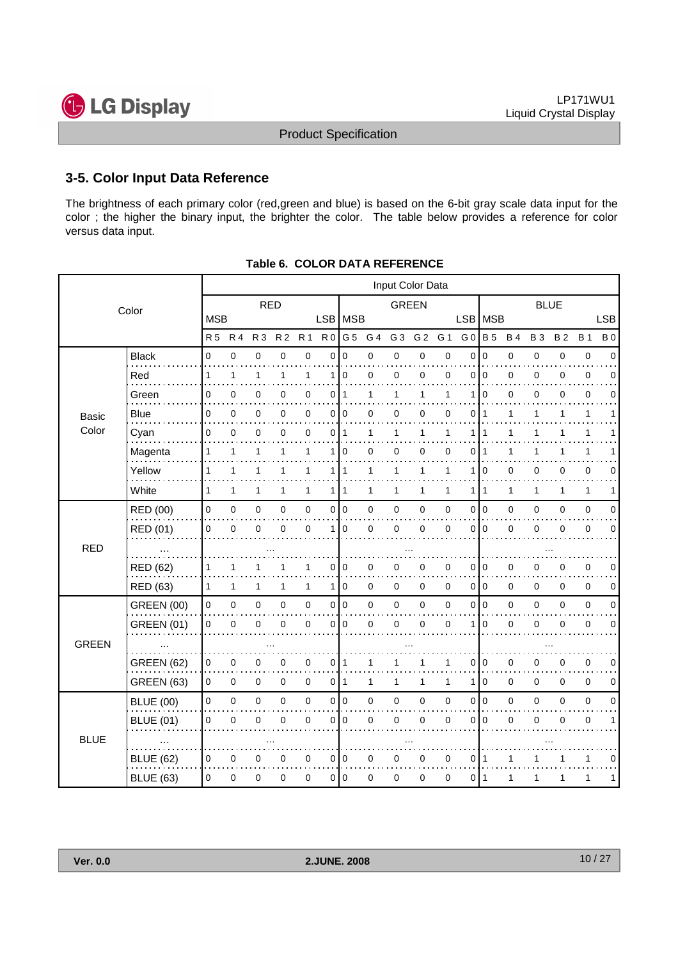

#### **3-5. Color Input Data Reference**

The brightness of each primary color (red,green and blue) is based on the 6-bit gray scale data input for the color ; the higher the binary input, the brighter the color. The table below provides a reference for color versus data input.

|                                                                                                                                                                                                                                                                                                                                                                                                                                                                                                                                                                                                                                                                                                                                                                                                                                                                                                                                                                                                                                                                                                                                                         |                |              |             |                |                |                |                |                |             | Input Color Data |                |              |                |                |              |             |              |                |             |
|---------------------------------------------------------------------------------------------------------------------------------------------------------------------------------------------------------------------------------------------------------------------------------------------------------------------------------------------------------------------------------------------------------------------------------------------------------------------------------------------------------------------------------------------------------------------------------------------------------------------------------------------------------------------------------------------------------------------------------------------------------------------------------------------------------------------------------------------------------------------------------------------------------------------------------------------------------------------------------------------------------------------------------------------------------------------------------------------------------------------------------------------------------|----------------|--------------|-------------|----------------|----------------|----------------|----------------|----------------|-------------|------------------|----------------|--------------|----------------|----------------|--------------|-------------|--------------|----------------|-------------|
|                                                                                                                                                                                                                                                                                                                                                                                                                                                                                                                                                                                                                                                                                                                                                                                                                                                                                                                                                                                                                                                                                                                                                         | Color          |              |             | <b>RED</b>     |                |                |                |                |             | <b>GREEN</b>     |                |              |                |                |              | <b>BLUE</b> |              |                |             |
|                                                                                                                                                                                                                                                                                                                                                                                                                                                                                                                                                                                                                                                                                                                                                                                                                                                                                                                                                                                                                                                                                                                                                         |                |              |             |                |                |                |                |                |             |                  |                |              | LSB MSB        |                |              |             |              |                | <b>LSB</b>  |
|                                                                                                                                                                                                                                                                                                                                                                                                                                                                                                                                                                                                                                                                                                                                                                                                                                                                                                                                                                                                                                                                                                                                                         |                | <b>R5</b>    | <b>R4</b>   | R <sub>3</sub> | R <sub>2</sub> | R <sub>1</sub> | R <sub>0</sub> | G <sub>5</sub> | G 4         | G <sub>3</sub>   | G <sub>2</sub> | G 1          | G <sub>0</sub> | <b>B</b> 5     | <b>B4</b>    | <b>B3</b>   | <b>B2</b>    | <b>B</b> 1     | <b>B</b> 0  |
| <b>Basic</b>                                                                                                                                                                                                                                                                                                                                                                                                                                                                                                                                                                                                                                                                                                                                                                                                                                                                                                                                                                                                                                                                                                                                            | <b>Black</b>   | $\Omega$     | $\mathbf 0$ | $\mathbf 0$    | $\mathbf 0$    | 0              | $\overline{0}$ | 0              | $\mathbf 0$ | 0                | $\pmb{0}$      | $\mathbf 0$  | 0              | $\Omega$       | $\mathsf 0$  | $\mathbf 0$ | $\pmb{0}$    | $\mathbf 0$    | $\Omega$    |
|                                                                                                                                                                                                                                                                                                                                                                                                                                                                                                                                                                                                                                                                                                                                                                                                                                                                                                                                                                                                                                                                                                                                                         | Red            | 1            | 1           | 1              | $\mathbf{1}$   | 1              | 1              | 0              | $\mathbf 0$ | 0                | 0              | 0            | 0              | $\mathbf 0$    | 0            | 0           | 0            | $\mathbf 0$    | 0           |
|                                                                                                                                                                                                                                                                                                                                                                                                                                                                                                                                                                                                                                                                                                                                                                                                                                                                                                                                                                                                                                                                                                                                                         | Green          | 0            | 0           | $\mathbf 0$    | 0              | 0              |                |                | 1           | 1                | 1              | 1            | 1              | $\mathbf 0$    | 0            | 0           | 0            | $\mathbf 0$    | 0           |
|                                                                                                                                                                                                                                                                                                                                                                                                                                                                                                                                                                                                                                                                                                                                                                                                                                                                                                                                                                                                                                                                                                                                                         | <b>Blue</b>    | 0            | 0           | $\mathbf 0$    | 0              | 0              |                | $\overline{0}$ | 0           | 0                | 0              | 0            | 0              | 1              | 1            | 1           | 1            | 1              | 1           |
| Color                                                                                                                                                                                                                                                                                                                                                                                                                                                                                                                                                                                                                                                                                                                                                                                                                                                                                                                                                                                                                                                                                                                                                   | Cyan           | 0            | $\Omega$    | $\mathbf 0$    | 0              | $\overline{0}$ | $\mathbf 0$    | $\mathbf{1}$   | 1           | 1                | $\mathbf{1}$   | $\mathbf{1}$ | $\mathbf{1}$   | 1              | $\mathbf{1}$ | 1           | 1            | 1              | 1           |
|                                                                                                                                                                                                                                                                                                                                                                                                                                                                                                                                                                                                                                                                                                                                                                                                                                                                                                                                                                                                                                                                                                                                                         | Magenta        | 1            | 1           | 1              | 1              | 1              | 1              | 0              | 0           | 0                | 0              | 0            | 0              |                | 1            | 1           |              | 1              |             |
|                                                                                                                                                                                                                                                                                                                                                                                                                                                                                                                                                                                                                                                                                                                                                                                                                                                                                                                                                                                                                                                                                                                                                         | Yellow         | 1            | 1           | 1              | 1              | 1              |                | $\mathbf{1}$   | 1           | 1                | $\mathbf{1}$   | 1            | $\mathbf{1}$   | 0              | 0            | 0           | 0            | 0              | 0           |
|                                                                                                                                                                                                                                                                                                                                                                                                                                                                                                                                                                                                                                                                                                                                                                                                                                                                                                                                                                                                                                                                                                                                                         | White          | $\mathbf{1}$ | 1           | $\mathbf{1}$   | $\mathbf{1}$   | $\mathbf{1}$   |                |                | 1           | 1                | 1              | $\mathbf{1}$ | $\mathbf{1}$   | 1              | $\mathbf{1}$ | 1           | $\mathbf{1}$ | $\mathbf{1}$   | 1           |
|                                                                                                                                                                                                                                                                                                                                                                                                                                                                                                                                                                                                                                                                                                                                                                                                                                                                                                                                                                                                                                                                                                                                                         | RED (00)       | 0            | 0           | $\pmb{0}$      | 0              | 0              |                |                | $\mathbf 0$ | 0                | $\pmb{0}$      | $\pmb{0}$    |                | 0 0            | 0            | $\mathbf 0$ | 0            | $\mathbf 0$    | $\mathbf 0$ |
|                                                                                                                                                                                                                                                                                                                                                                                                                                                                                                                                                                                                                                                                                                                                                                                                                                                                                                                                                                                                                                                                                                                                                         | RED (01)       | 0            | $\Omega$    | $\mathbf 0$    | 0              | $\overline{0}$ | 1              | 0              | $\mathbf 0$ | 0                | 0              | 0            | $\Omega$       | $\Omega$       | 0            | 0           | $\mathbf 0$  | $\mathbf 0$    | $\Omega$    |
| <b>RED</b>                                                                                                                                                                                                                                                                                                                                                                                                                                                                                                                                                                                                                                                                                                                                                                                                                                                                                                                                                                                                                                                                                                                                              |                |              |             |                |                |                |                |                |             |                  |                |              |                |                |              |             |              |                |             |
|                                                                                                                                                                                                                                                                                                                                                                                                                                                                                                                                                                                                                                                                                                                                                                                                                                                                                                                                                                                                                                                                                                                                                         | RED (62)       | 1            | 1           | 1              |                | 1              |                | 0              | 0           | 0                | 0              | 0            | 0              | $\mathbf 0$    | 0            | 0           | 0            | 0              | 0           |
| <b>MSB</b><br>LSB MSB<br>0 1<br>$\overline{0}$<br>1 I<br>111<br>0 0<br>$\overline{0}$<br>$\overline{0}$<br>$\mathbf 0$<br>0<br>$\mathbf 0$<br>RED (63)<br>$\mathbf{1}$<br>$\mathbf{1}$<br>$\mathbf{1}$<br>1<br>1 <sup>1</sup><br>$\mathbf 0$<br>1<br><b>GREEN (00)</b><br>$\pmb{0}$<br>0 0<br>0<br>$\pmb{0}$<br>0<br>0<br>$\mathbf 0$<br>0<br>$\pmb{0}$<br>$\pmb{0}$<br><b>GREEN (01)</b><br>$\pmb{0}$<br>0<br>0<br>$\mathbf 0$<br>$\mathbf 0$<br>0<br>$\pmb{0}$<br>0<br>0<br>0<br>$\mathbf 0$<br><b>GREEN</b><br><b>GREEN (62)</b><br>0<br>$\mathbf 0$<br>0<br>0<br>$0$   1<br>0<br>1<br>1<br>1<br><b>GREEN (63)</b><br>0<br>0<br>$\mathbf 0$<br>0<br>0<br>011<br>1<br>$\mathbf{1}$<br>$\mathbf{1}$<br>1<br>$\mathsf 0$<br>0 0<br><b>BLUE (00)</b><br>$\pmb{0}$<br>0<br>$\mathbf 0$<br>0<br>0<br>$\mathbf 0$<br>0<br>0<br>0<br><b>BLUE (01)</b><br>0<br>0<br>$\mathbf 0$<br>0<br>0<br>$\mathbf 0$<br>0<br>$\mathbf 0$<br>0<br>0<br><b>BLUE</b><br><b>BLUE (62)</b><br>0 0<br>$\mathbf 0$<br>$\pmb{0}$<br>$\mathbf 0$<br>0<br>0<br>0<br>0<br>0<br>0<br>0<br>$\pmb{0}$<br>0<br>0 0<br>0<br>0<br><b>BLUE (63)</b><br>0<br>0<br>$\mathbf 0$<br>$\mathbf 0$ | $\overline{0}$ | $\mathbf 0$  | 0           | $\mathbf 0$    | $\Omega$       | $\mathbf 0$    | $\mathbf 0$    |                |             |                  |                |              |                |                |              |             |              |                |             |
|                                                                                                                                                                                                                                                                                                                                                                                                                                                                                                                                                                                                                                                                                                                                                                                                                                                                                                                                                                                                                                                                                                                                                         |                |              |             |                |                |                |                |                |             |                  |                |              |                | 0 0            | 0            | 0           | 0            | $\mathbf 0$    | $\mathbf 0$ |
|                                                                                                                                                                                                                                                                                                                                                                                                                                                                                                                                                                                                                                                                                                                                                                                                                                                                                                                                                                                                                                                                                                                                                         |                |              |             |                |                |                |                |                |             |                  |                |              | $\mathbf{1}$   | $\mathbf 0$    | 0            | 0           | $\mathbf 0$  | $\mathbf 0$    | $\mathbf 0$ |
|                                                                                                                                                                                                                                                                                                                                                                                                                                                                                                                                                                                                                                                                                                                                                                                                                                                                                                                                                                                                                                                                                                                                                         |                |              |             |                |                |                |                |                |             |                  |                |              |                |                |              |             |              |                |             |
|                                                                                                                                                                                                                                                                                                                                                                                                                                                                                                                                                                                                                                                                                                                                                                                                                                                                                                                                                                                                                                                                                                                                                         |                |              |             |                |                |                |                |                |             |                  |                |              | 0              | 0              | 0            | 0           | 0            | $\mathbf 0$    | 0           |
|                                                                                                                                                                                                                                                                                                                                                                                                                                                                                                                                                                                                                                                                                                                                                                                                                                                                                                                                                                                                                                                                                                                                                         |                |              |             |                |                |                |                |                |             |                  |                |              | $\mathbf{1}$   | $\mathbf 0$    | 0            | $\mathbf 0$ | $\mathbf 0$  | $\mathbf 0$    | 0           |
|                                                                                                                                                                                                                                                                                                                                                                                                                                                                                                                                                                                                                                                                                                                                                                                                                                                                                                                                                                                                                                                                                                                                                         |                |              |             |                |                |                |                |                |             |                  |                |              | $\overline{0}$ | $\overline{0}$ | 0            | $\mathbf 0$ | 0            | $\overline{0}$ | $\Omega$    |
|                                                                                                                                                                                                                                                                                                                                                                                                                                                                                                                                                                                                                                                                                                                                                                                                                                                                                                                                                                                                                                                                                                                                                         |                |              |             |                |                |                |                |                |             |                  |                |              | 0              | $\mathbf 0$    | 0            | 0           | $\mathbf 0$  | $\mathbf 0$    | 1           |
|                                                                                                                                                                                                                                                                                                                                                                                                                                                                                                                                                                                                                                                                                                                                                                                                                                                                                                                                                                                                                                                                                                                                                         |                |              |             |                |                |                |                |                |             |                  |                |              |                |                |              |             |              |                |             |
|                                                                                                                                                                                                                                                                                                                                                                                                                                                                                                                                                                                                                                                                                                                                                                                                                                                                                                                                                                                                                                                                                                                                                         |                |              |             |                |                |                |                |                |             |                  |                |              | 0              | $\mathbf{1}$   | 1            | 1           | 1            | $\mathbf{1}$   | 0           |
|                                                                                                                                                                                                                                                                                                                                                                                                                                                                                                                                                                                                                                                                                                                                                                                                                                                                                                                                                                                                                                                                                                                                                         |                |              |             |                |                |                |                |                |             |                  |                |              | 0              | 1              | $\mathbf{1}$ | 1           | 1            | $\mathbf{1}$   | 1           |
|                                                                                                                                                                                                                                                                                                                                                                                                                                                                                                                                                                                                                                                                                                                                                                                                                                                                                                                                                                                                                                                                                                                                                         |                |              |             |                |                |                |                |                |             |                  |                |              |                |                |              |             |              |                |             |

|  | <b>Table 6. COLOR DATA REFERENCE</b> |
|--|--------------------------------------|
|  |                                      |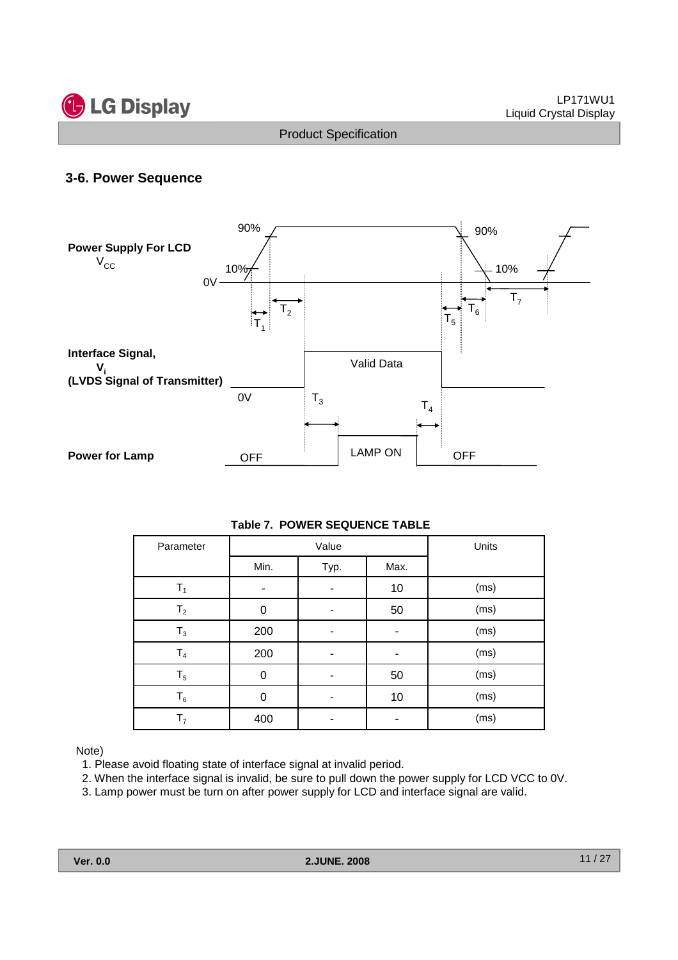



#### **3-6. Power Sequence**



#### **Table 7. POWER SEQUENCE TABLE**

| Parameter      |          | Value |      | Units |  |  |
|----------------|----------|-------|------|-------|--|--|
|                | Min.     | Typ.  | Max. |       |  |  |
| $T_1$          |          |       | 10   | (ms)  |  |  |
| $T_{2}$        | $\Omega$ |       | 50   | (ms)  |  |  |
| $T_3$          | 200      |       |      | (ms)  |  |  |
| $\mathsf{T}_4$ | 200      |       |      | (ms)  |  |  |
| $T_5$          | $\Omega$ |       | 50   | (ms)  |  |  |
| $T_6$          | 0        |       | 10   | (ms)  |  |  |
| T <sub>7</sub> | 400      |       |      | (ms)  |  |  |

Note)

1. Please avoid floating state of interface signal at invalid period.

- 2. When the interface signal is invalid, be sure to pull down the power supply for LCD VCC to 0V.
- 3. Lamp power must be turn on after power supply for LCD and interface signal are valid.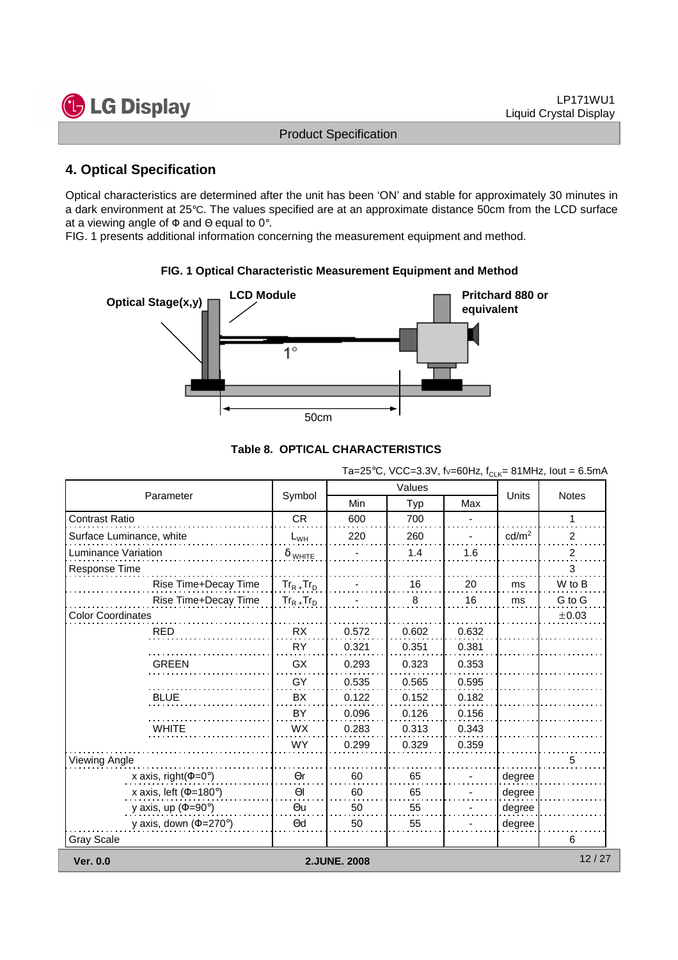

#### **4. Optical Specification**

Optical characteristics are determined after the unit has been 'ON' and stable for approximately 30 minutes in a dark environment at 25°C. The values specified are at an approximate distance 50cm from the LCD surface at a viewing angle of  $\Phi$  and  $\Theta$  equal to 0°.

FIG. 1 presents additional information concerning the measurement equipment and method.



# **FIG. 1 Optical Characteristic Measurement Equipment and Method**

|  | Table 8.  OPTICAL CHARACTERISTICS |
|--|-----------------------------------|
|  |                                   |

|                                     |                 |              | Values |       |                   | <b>Notes</b> |  |
|-------------------------------------|-----------------|--------------|--------|-------|-------------------|--------------|--|
| Parameter                           | Symbol          | Min          | Typ    | Max   | Units             |              |  |
| <b>Contrast Ratio</b>               | <b>CR</b>       | 600          | 700    |       |                   | 1            |  |
| Surface Luminance, white            | $L_{WH}$        | 220          | 260    |       | cd/m <sup>2</sup> | 2            |  |
| Luminance Variation                 | $\delta$ white  |              | 1.4    | 1.6   |                   | 2            |  |
| <b>Response Time</b>                |                 |              |        |       |                   | 3            |  |
| Rise Time+Decay Time                | $Tr_{R+}Tr_{D}$ |              | 16     | 20    | ms                | W to B       |  |
| Rise Time+Decay Time                | $Tr_{R+}Tr_{D}$ |              | 8      | 16    | ms                | G to G       |  |
| <b>Color Coordinates</b>            |                 |              |        |       |                   | ±0.03        |  |
| <b>RED</b>                          | <b>RX</b>       | 0.572        | 0.602  | 0.632 |                   |              |  |
|                                     | <b>RY</b>       | 0.321        | 0.351  | 0.381 |                   |              |  |
| <b>GREEN</b>                        | GX              | 0.293        | 0.323  | 0.353 |                   |              |  |
|                                     | GY              | 0.535        | 0.565  | 0.595 |                   |              |  |
| <b>BLUE</b>                         | BX              | 0.122        | 0.152  | 0.182 |                   |              |  |
|                                     | BY              | 0.096        | 0.126  | 0.156 |                   |              |  |
| <b>WHITE</b>                        | <b>WX</b>       | 0.283        | 0.313  | 0.343 |                   |              |  |
|                                     | WY              | 0.299        | 0.329  | 0.359 |                   |              |  |
| <b>Viewing Angle</b>                |                 |              |        |       |                   | 5            |  |
| x axis, right( $\Phi$ =0°)          | $\Theta$ r      | 60           | 65     |       | degree            |              |  |
| x axis, left ( $\Phi$ =180°)        | $\Theta$        | 60           | 65     |       | degree            |              |  |
| y axis, up ( $\Phi$ =90°)           | $\Theta$ u      | 50           | 55     |       | degree            |              |  |
| y axis, down $(\Phi = 270^{\circ})$ | $\Theta$ d      | 50           | 55     |       | degree            |              |  |
| <b>Gray Scale</b>                   |                 |              |        |       |                   | 6            |  |
| <b>Ver. 0.0</b>                     |                 | 2.JUNE. 2008 |        |       |                   | 12/27        |  |

#### Ta=25°C, VCC=3.3V, fv=60Hz, f<sub>CLK</sub>= 81MHz, lout = 6.5mA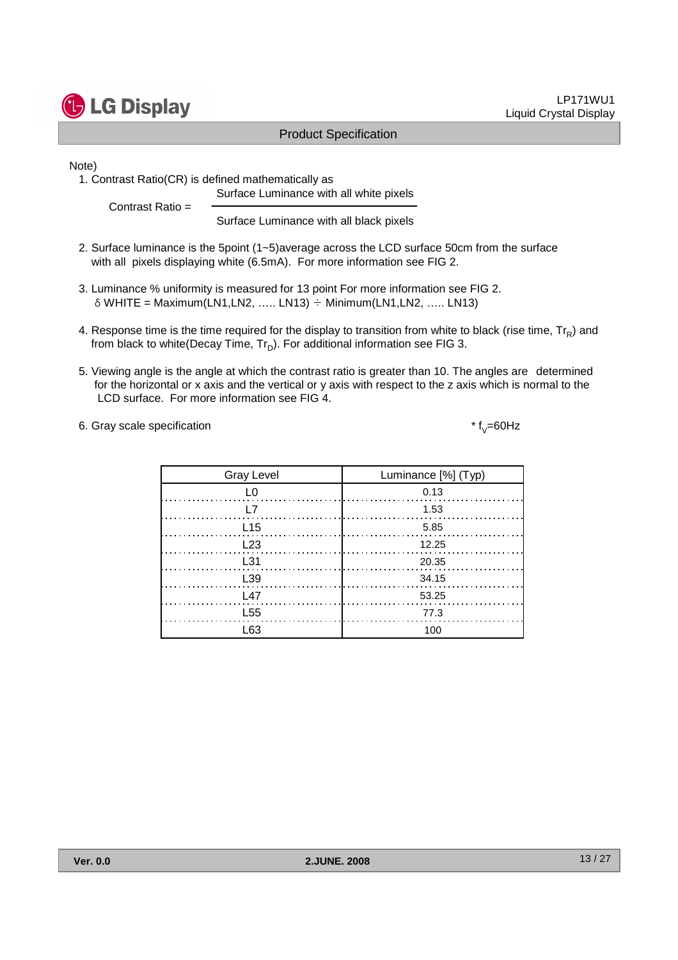LP171WU1

Note)

1. Contrast Ratio(CR) is defined mathematically as Surface Luminance with all white pixels

Contrast Ratio =

**G** LG Display

Surface Luminance with all black pixels

Product Specification

- 2. Surface luminance is the 5point (1~5)average across the LCD surface 50cm from the surface with all pixels displaying white (6.5mA). For more information see FIG 2.
- 3. Luminance % uniformity is measured for 13 point For more information see FIG 2.  $\delta$  WHITE = Maximum(LN1,LN2, ….. LN13)  $\div$  Minimum(LN1,LN2, ….. LN13)
- 4. Response time is the time required for the display to transition from white to black (rise time,  $\text{Tr}_{\textsf{\textsf{R}}}$ ) and from black to white(Decay Time,  $\mathsf{Tr}_{\mathsf{D}}$ ). For additional information see FIG 3.
- 5. Viewing angle is the angle at which the contrast ratio is greater than 10. The angles are determined for the horizontal or x axis and the vertical or y axis with respect to the z axis which is normal to the LCD surface. For more information see FIG 4.

6. Gray scale specification

| <b>Gray Level</b> | Luminance [%] (Typ) |
|-------------------|---------------------|
| ı∩                | 0.13                |
| L7                | 1.53                |
| L <sub>15</sub>   | 5.85                |
| L23               | 12.25               |
| L31               | 20.35               |
| L <sub>39</sub>   | 34.15               |
| l 47              | 53.25               |
| L <sub>55</sub>   | 77.3                |
| l 63              | 100                 |

\*  $f_y = 60$ Hz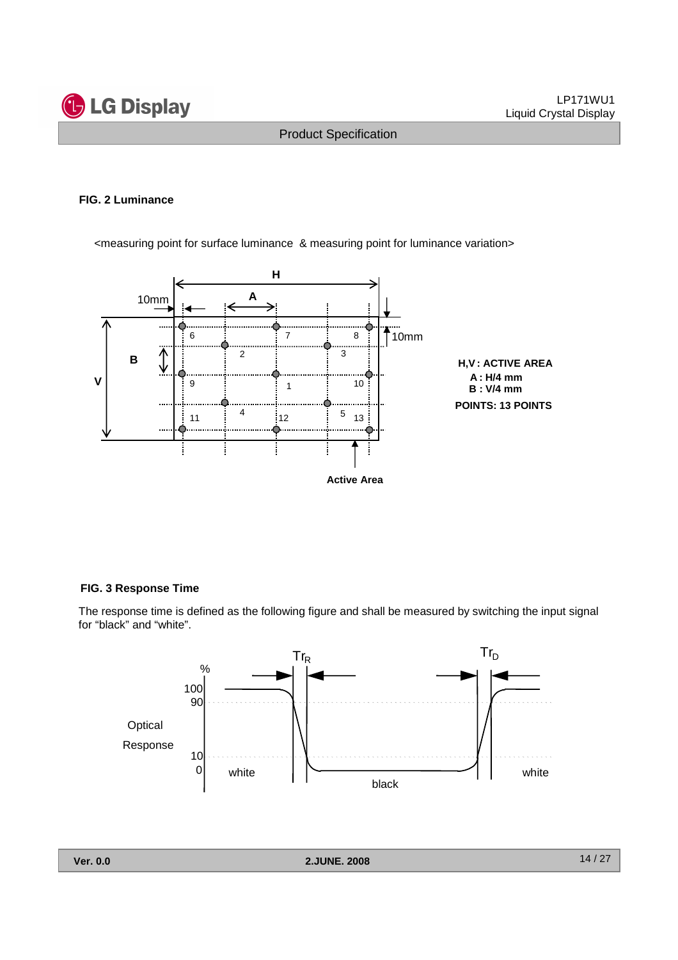

#### **FIG. 2 Luminance**

<measuring point for surface luminance & measuring point for luminance variation>



#### **FIG. 3 Response Time**

The response time is defined as the following figure and shall be measured by switching the input signal for "black" and "white".

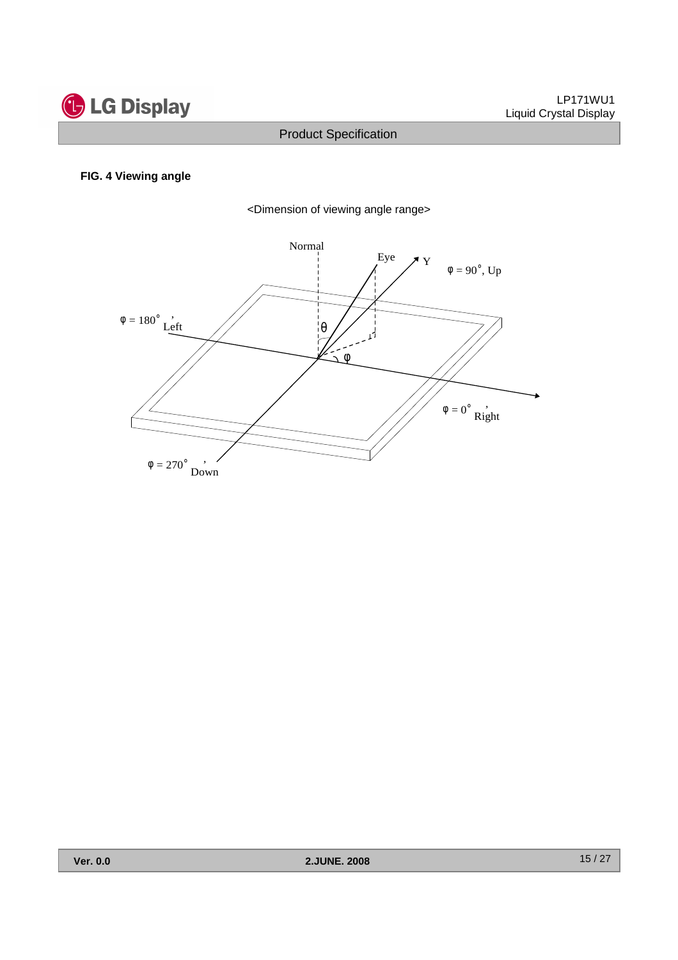

#### **FIG. 4 Viewing angle**



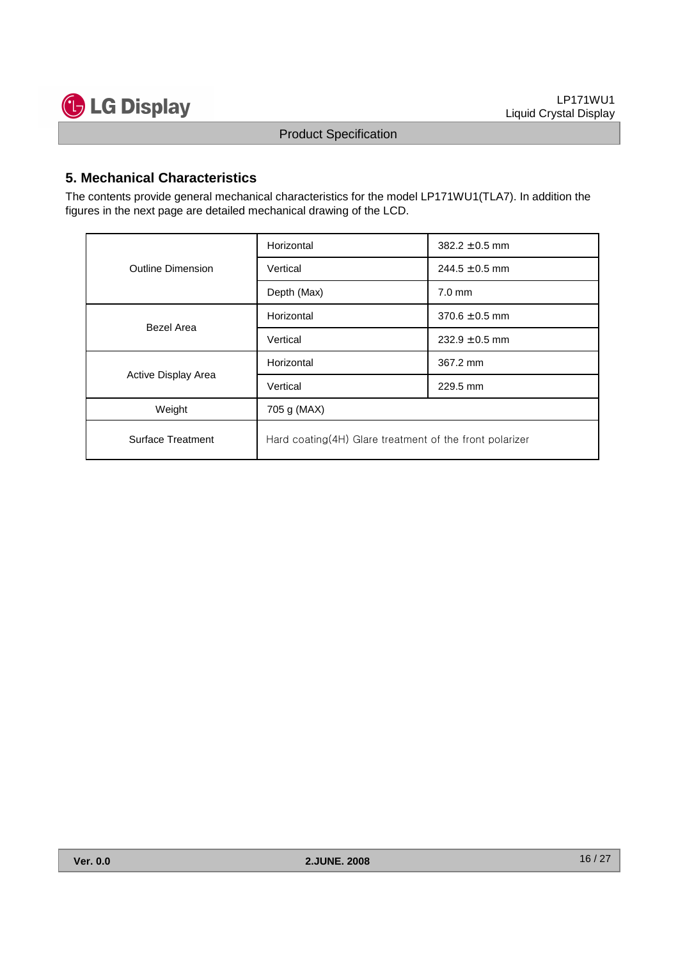

#### **5. Mechanical Characteristics**

The contents provide general mechanical characteristics for the model LP171WU1(TLA7). In addition the figures in the next page are detailed mechanical drawing of the LCD.

|                          | Horizontal                                               | $382.2 \pm 0.5$ mm |  |  |  |
|--------------------------|----------------------------------------------------------|--------------------|--|--|--|
| <b>Outline Dimension</b> | Vertical                                                 | $244.5 \pm 0.5$ mm |  |  |  |
|                          | Depth (Max)                                              | $7.0 \text{ mm}$   |  |  |  |
| Bezel Area               | Horizontal                                               | $370.6 \pm 0.5$ mm |  |  |  |
|                          | Vertical                                                 | $232.9 \pm 0.5$ mm |  |  |  |
|                          | Horizontal                                               | 367.2 mm           |  |  |  |
| Active Display Area      | Vertical                                                 | 229.5 mm           |  |  |  |
| Weight                   | 705 g (MAX)                                              |                    |  |  |  |
| Surface Treatment        | Hard coating (4H) Glare treatment of the front polarizer |                    |  |  |  |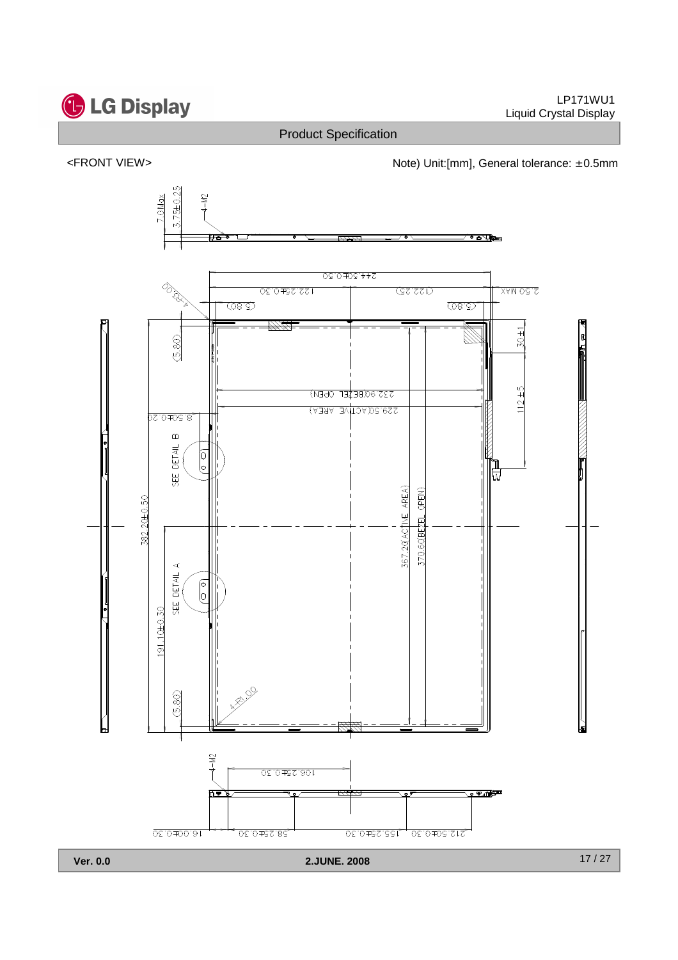

<FRONT VIEW> <http://www.matchbook.com/hotel/doint/filmm], General tolerance: ± 0.5mm

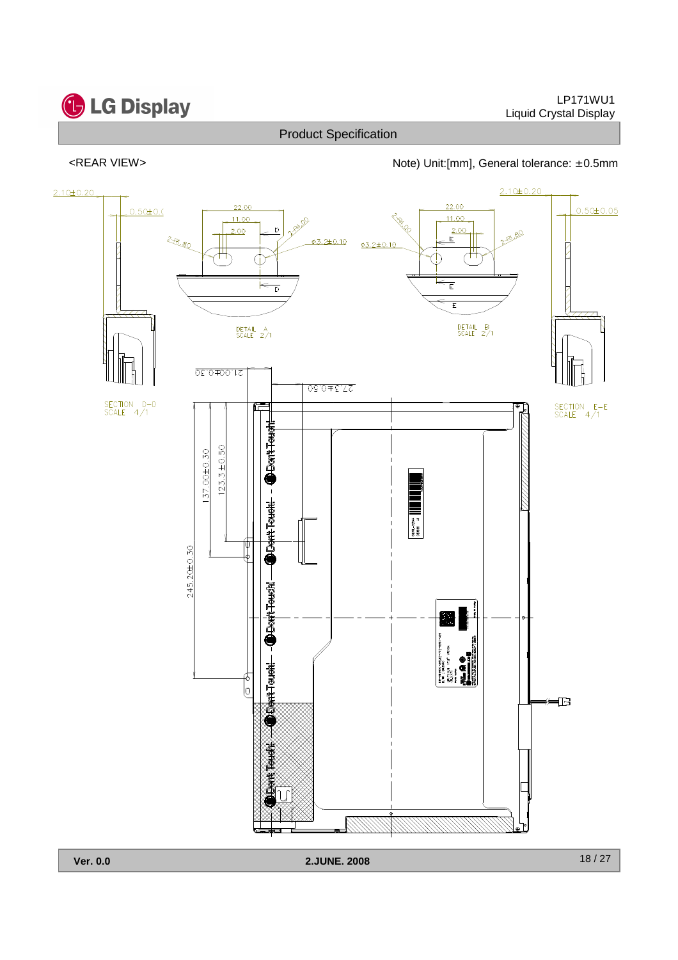

# **G** LG Display

#### LP171WU1 Liquid Crystal Display

**Ver. 0.0 2.JUNE. 2008**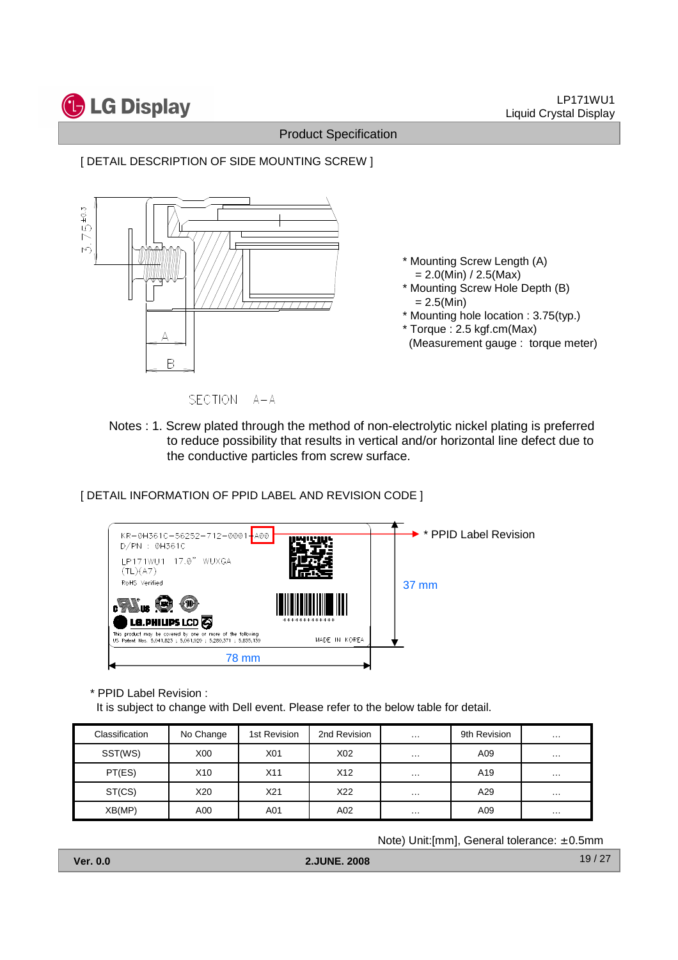

SECTION A-A

Notes : 1. Screw plated through the method of non-electrolytic nickel plating is preferred to reduce possibility that results in vertical and/or horizontal line defect due to the conductive particles from screw surface.

[ DETAIL INFORMATION OF PPID LABEL AND REVISION CODE ]



\* PPID Label Revision :

It is subject to change with Dell event. Please refer to the below table for detail.

| Classification | No Change        | 1st Revision | 2nd Revision    | $\cdot\cdot\cdot$ | 9th Revision    | $\cdots$      |
|----------------|------------------|--------------|-----------------|-------------------|-----------------|---------------|
| SST(WS)        | X <sub>0</sub> 0 | X01          | X <sub>02</sub> | $\cdot\cdot\cdot$ | A09             | $\sim$ $\sim$ |
| PT(ES)         | X <sub>10</sub>  | X11          | X <sub>12</sub> | $\cdot\cdot\cdot$ | A <sub>19</sub> | $\cdots$      |
| ST(CS)         | X20              | X21          | X22             | $\cdot\cdot\cdot$ | A29             | $\cdots$      |
| XB(MP)         | A00              | A01          | A02             | $\cdots$          | A09             | $\cdots$      |

Note) Unit:[mm], General tolerance: ± 0.5mm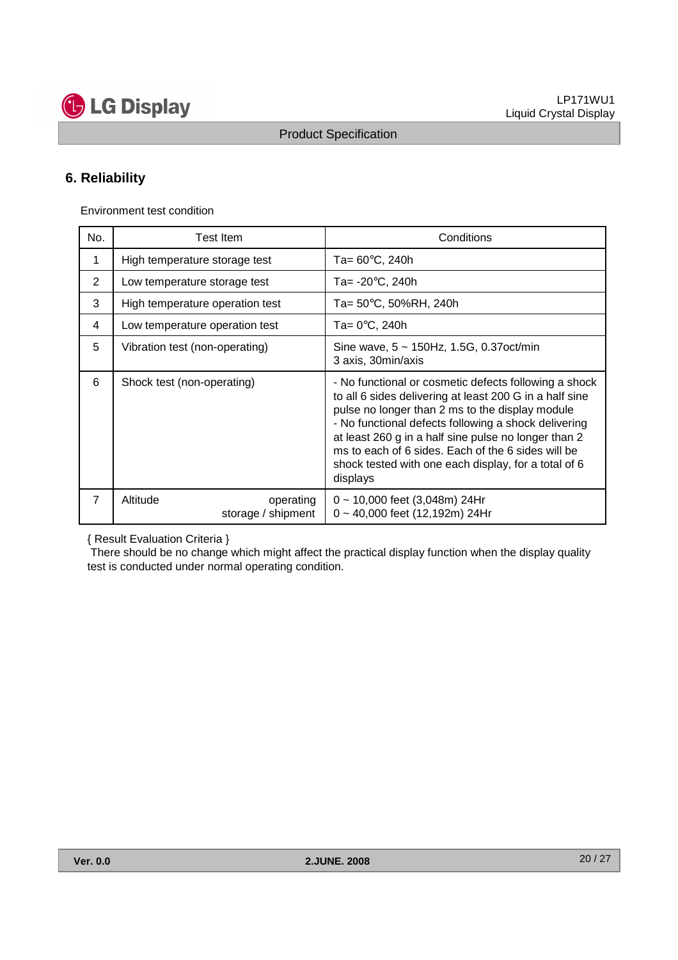

### **6. Reliability**

Environment test condition

| No.            | Test Item                                   | Conditions                                                                                                                                                                                                                                                                                                                                                                                                    |
|----------------|---------------------------------------------|---------------------------------------------------------------------------------------------------------------------------------------------------------------------------------------------------------------------------------------------------------------------------------------------------------------------------------------------------------------------------------------------------------------|
| 1              | High temperature storage test               | Ta= $60^{\circ}$ C, 240h                                                                                                                                                                                                                                                                                                                                                                                      |
| 2              | Low temperature storage test                | Ta= $-20^{\circ}$ C, 240h                                                                                                                                                                                                                                                                                                                                                                                     |
| 3              | High temperature operation test             | Ta= $50^{\circ}$ C, $50\%$ RH, 240h                                                                                                                                                                                                                                                                                                                                                                           |
| 4              | Low temperature operation test              | Ta= $0^{\circ}$ C, 240h                                                                                                                                                                                                                                                                                                                                                                                       |
| 5              | Vibration test (non-operating)              | Sine wave, $5 \sim 150$ Hz, 1.5G, 0.37 oct/min<br>3 axis, 30min/axis                                                                                                                                                                                                                                                                                                                                          |
| 6              | Shock test (non-operating)                  | - No functional or cosmetic defects following a shock<br>to all 6 sides delivering at least 200 G in a half sine<br>pulse no longer than 2 ms to the display module<br>- No functional defects following a shock delivering<br>at least 260 g in a half sine pulse no longer than 2<br>ms to each of 6 sides. Each of the 6 sides will be<br>shock tested with one each display, for a total of 6<br>displays |
| $\overline{7}$ | Altitude<br>operating<br>storage / shipment | $0 \sim 10,000$ feet (3,048m) 24Hr<br>$0 \sim 40,000$ feet (12,192m) 24Hr                                                                                                                                                                                                                                                                                                                                     |

{ Result Evaluation Criteria }

There should be no change which might affect the practical display function when the display quality test is conducted under normal operating condition.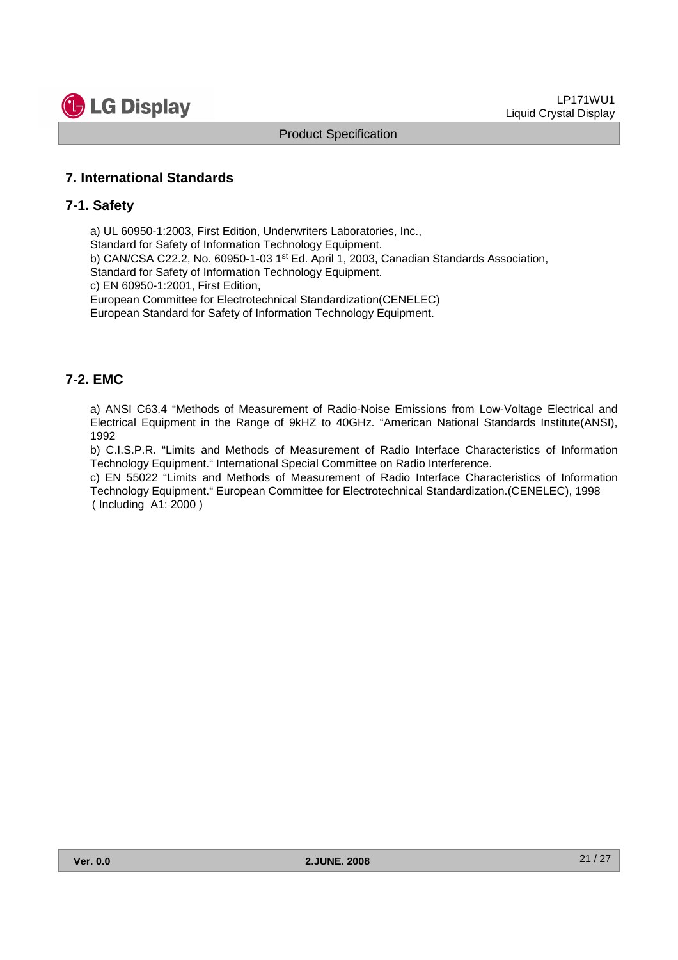

#### **7. International Standards**

#### **7-1. Safety**

a) UL 60950-1:2003, First Edition, Underwriters Laboratories, Inc., Standard for Safety of Information Technology Equipment. b) CAN/CSA C22.2, No. 60950-1-03 1st Ed. April 1, 2003, Canadian Standards Association, Standard for Safety of Information Technology Equipment. c) EN 60950-1:2001, First Edition, European Committee for Electrotechnical Standardization(CENELEC) European Standard for Safety of Information Technology Equipment.

#### **7-2. EMC**

a) ANSI C63.4 "Methods of Measurement of Radio-Noise Emissions from Low-Voltage Electrical and Electrical Equipment in the Range of 9kHZ to 40GHz. "American National Standards Institute(ANSI), 1992

b) C.I.S.P.R. "Limits and Methods of Measurement of Radio Interface Characteristics of Information Technology Equipment." International Special Committee on Radio Interference.

c) EN 55022 "Limits and Methods of Measurement of Radio Interface Characteristics of Information Technology Equipment." European Committee for Electrotechnical Standardization.(CENELEC), 1998 ( Including A1: 2000 )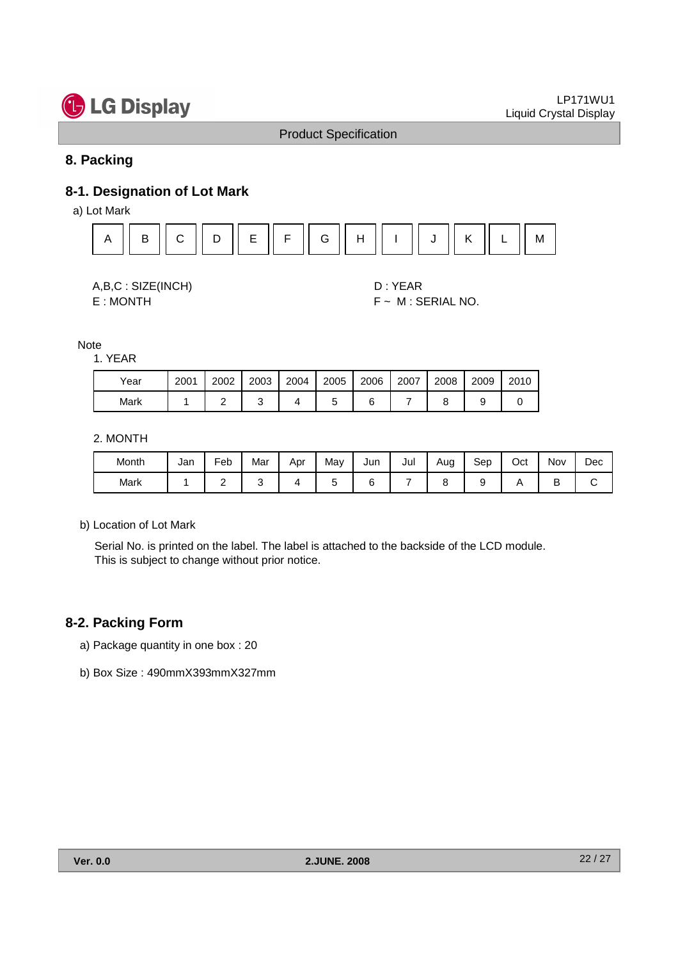

#### **8. Packing**

# **8-1. Designation of Lot Mark**

a) Lot Mark





E : MONTH F ~ M : SERIAL NO.

Note

1. YEAR

| Year | 2001 | 2002 | 2003 | 2004 | 2005 | 2006 | 2007 | 2008 | 2009 | 2010 |
|------|------|------|------|------|------|------|------|------|------|------|
| Mark |      |      |      |      |      |      |      |      |      |      |

2. MONTH

| Month | Jan | Feb | Mar | Apr | May | Jun | Jul | Aug | Sep | Oct | Nov | Dec |
|-------|-----|-----|-----|-----|-----|-----|-----|-----|-----|-----|-----|-----|
| Mark  |     | -   |     |     |     |     |     |     |     |     | ◡   |     |

b) Location of Lot Mark

Serial No. is printed on the label. The label is attached to the backside of the LCD module. This is subject to change without prior notice.

#### **8-2. Packing Form**

a) Package quantity in one box : 20

b) Box Size : 490mmX393mmX327mm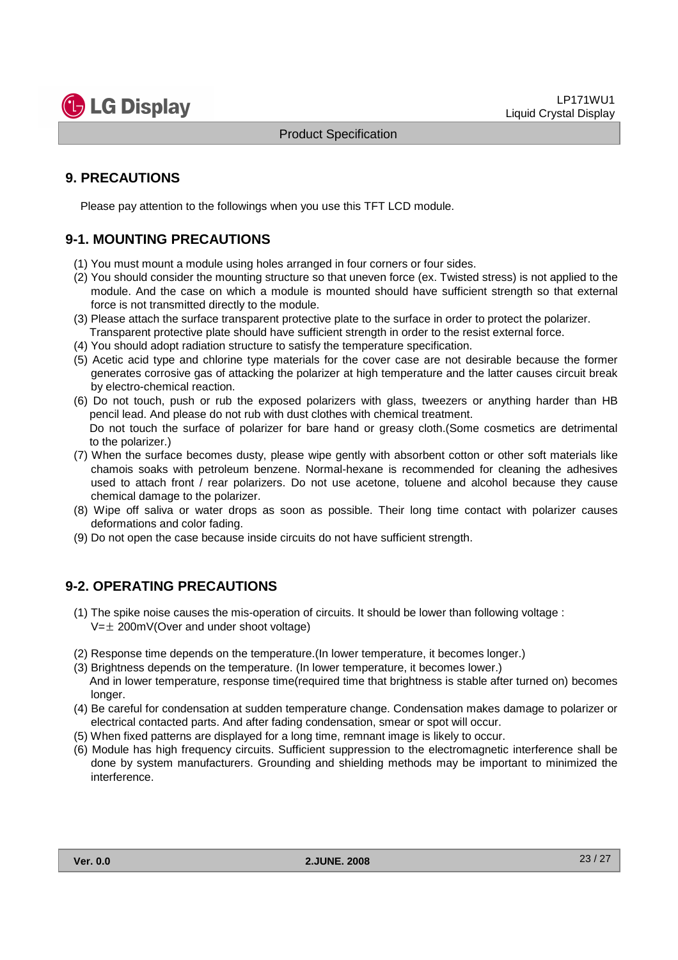

#### **9. PRECAUTIONS**

Please pay attention to the followings when you use this TFT LCD module.

#### **9-1. MOUNTING PRECAUTIONS**

- (1) You must mount a module using holes arranged in four corners or four sides.
- (2) You should consider the mounting structure so that uneven force (ex. Twisted stress) is not applied to the module. And the case on which a module is mounted should have sufficient strength so that external force is not transmitted directly to the module.
- (3) Please attach the surface transparent protective plate to the surface in order to protect the polarizer. Transparent protective plate should have sufficient strength in order to the resist external force.
- (4) You should adopt radiation structure to satisfy the temperature specification.
- (5) Acetic acid type and chlorine type materials for the cover case are not desirable because the former generates corrosive gas of attacking the polarizer at high temperature and the latter causes circuit break by electro-chemical reaction.
- (6) Do not touch, push or rub the exposed polarizers with glass, tweezers or anything harder than HB pencil lead. And please do not rub with dust clothes with chemical treatment. Do not touch the surface of polarizer for bare hand or greasy cloth.(Some cosmetics are detrimental to the polarizer.)
- (7) When the surface becomes dusty, please wipe gently with absorbent cotton or other soft materials like chamois soaks with petroleum benzene. Normal-hexane is recommended for cleaning the adhesives used to attach front / rear polarizers. Do not use acetone, toluene and alcohol because they cause chemical damage to the polarizer.
- (8) Wipe off saliva or water drops as soon as possible. Their long time contact with polarizer causes deformations and color fading.
- (9) Do not open the case because inside circuits do not have sufficient strength.

#### **9-2. OPERATING PRECAUTIONS**

- (1) The spike noise causes the mis-operation of circuits. It should be lower than following voltage :  $V=\pm 200$ mV(Over and under shoot voltage)
- (2) Response time depends on the temperature.(In lower temperature, it becomes longer.)
- (3) Brightness depends on the temperature. (In lower temperature, it becomes lower.) And in lower temperature, response time(required time that brightness is stable after turned on) becomes longer.
- (4) Be careful for condensation at sudden temperature change. Condensation makes damage to polarizer or electrical contacted parts. And after fading condensation, smear or spot will occur.
- (5) When fixed patterns are displayed for a long time, remnant image is likely to occur.
- (6) Module has high frequency circuits. Sufficient suppression to the electromagnetic interference shall be done by system manufacturers. Grounding and shielding methods may be important to minimized the interference.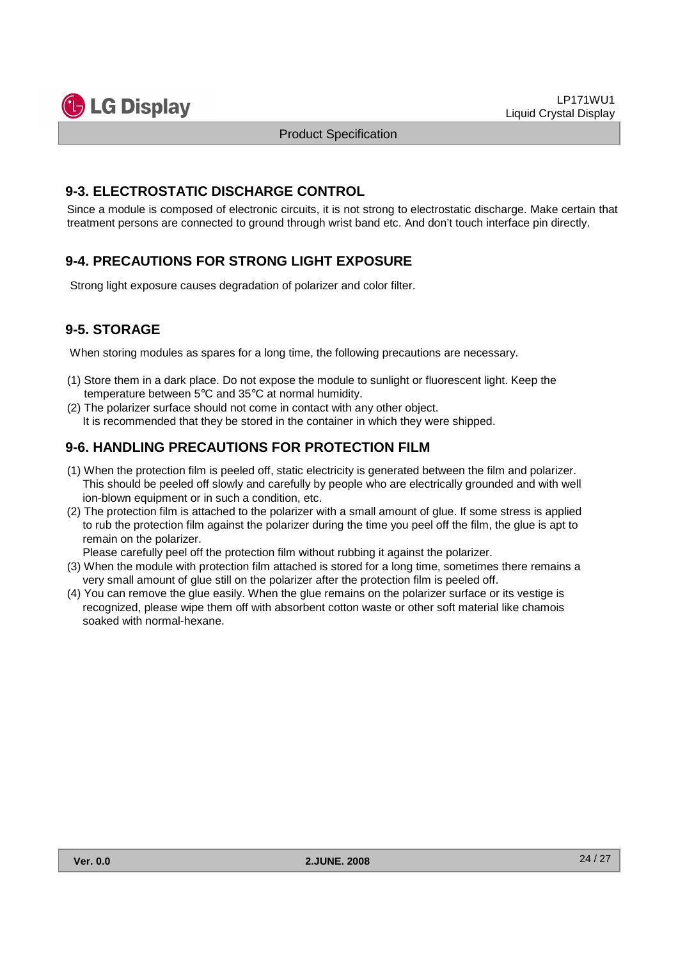

#### **9-3. ELECTROSTATIC DISCHARGE CONTROL**

Since a module is composed of electronic circuits, it is not strong to electrostatic discharge. Make certain that treatment persons are connected to ground through wrist band etc. And don't touch interface pin directly.

### **9-4. PRECAUTIONS FOR STRONG LIGHT EXPOSURE**

Strong light exposure causes degradation of polarizer and color filter.

### **9-5. STORAGE**

When storing modules as spares for a long time, the following precautions are necessary.

- (1) Store them in a dark place. Do not expose the module to sunlight or fluorescent light. Keep the temperature between 5°C and 35°C at normal humidity.
- (2) The polarizer surface should not come in contact with any other object. It is recommended that they be stored in the container in which they were shipped.

#### **9-6. HANDLING PRECAUTIONS FOR PROTECTION FILM**

- (1) When the protection film is peeled off, static electricity is generated between the film and polarizer. This should be peeled off slowly and carefully by people who are electrically grounded and with well ion-blown equipment or in such a condition, etc.
- (2) The protection film is attached to the polarizer with a small amount of glue. If some stress is applied to rub the protection film against the polarizer during the time you peel off the film, the glue is apt to remain on the polarizer.

Please carefully peel off the protection film without rubbing it against the polarizer.

- (3) When the module with protection film attached is stored for a long time, sometimes there remains a very small amount of glue still on the polarizer after the protection film is peeled off.
- (4) You can remove the glue easily. When the glue remains on the polarizer surface or its vestige is recognized, please wipe them off with absorbent cotton waste or other soft material like chamois soaked with normal-hexane.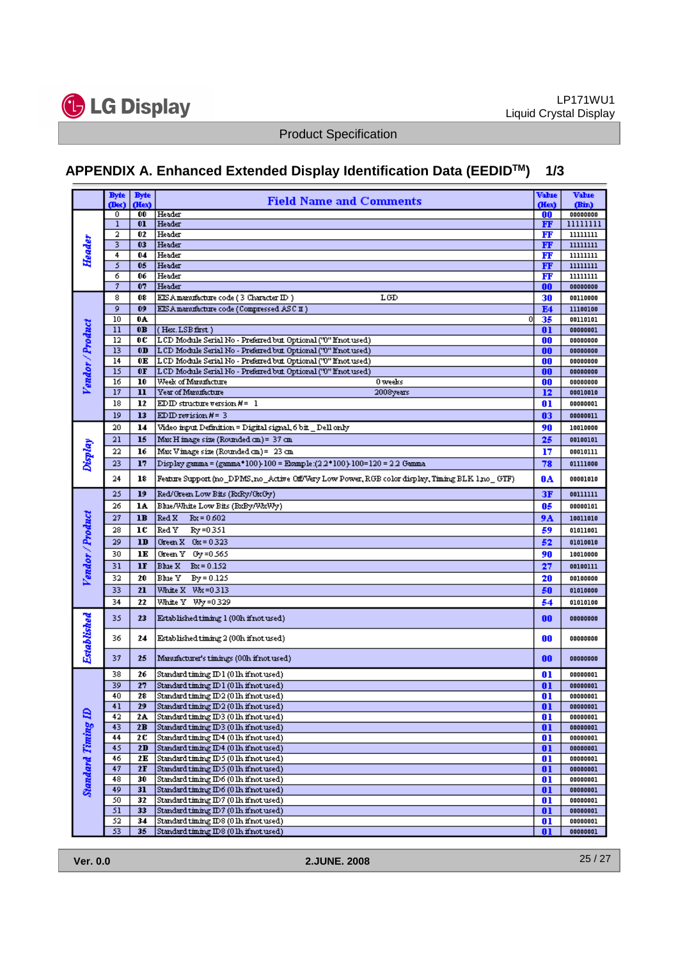

# **APPENDIX A. Enhanced Extended Display Identification Data (EEDIDTM) 1/3**

|                           | <b>Byte</b>  | <b>Byte</b>    | <b>Field Name and Comments</b>                                                                                                   | Vabie       | Vabie                |
|---------------------------|--------------|----------------|----------------------------------------------------------------------------------------------------------------------------------|-------------|----------------------|
| Header                    | (Dec)<br>0   | (Hex)<br>00    | Header                                                                                                                           | (Hex)<br>00 | (Bin)<br>00000000    |
|                           | $\mathbf{1}$ | 01             | Header                                                                                                                           | FF          | 11111111             |
|                           | 2            | 02             | Header                                                                                                                           | FF          | 11111111             |
|                           | 3            | 03             | Header                                                                                                                           | FF          | 11111111             |
|                           | 4            | 04             | Header                                                                                                                           | FF          | 11111111             |
|                           | 5            | 05             | Header                                                                                                                           | FF          | 11111111             |
|                           | 6            | 06             | Header                                                                                                                           | FF          | 11111111             |
|                           | 7            | 07             | Header                                                                                                                           | 00          | 00000000             |
|                           | 8            | 08             | EIS A manufacture code (3 Character ID)<br>LGD                                                                                   | 30          | 00110000             |
| Vendor / Product          | 9            | 09             | EIS A manufacture code (Compressed ASC II)                                                                                       | E4          | 11100100             |
|                           | 10           | 0A             | 0                                                                                                                                | 35          | 00110101             |
|                           | 11           | 0B             | (Hex.LSB first)                                                                                                                  | 01          | 00000001             |
|                           | 12           | OC             | LCD Module Serial No - Preferred but Optional ("0" ffnot used)                                                                   | 00          | 00000000             |
|                           | 13           | 0 <sub>D</sub> | LCD Module Serial No - Preferred but Optional ("0" ffnot used)                                                                   | 00          | 00000000             |
|                           | 14<br>15     | 0E<br>0F       | LCD Module Serial No - Preferred but Optional ("0" ffnot used)<br>LCD Module Serial No - Preferred but Optional ('0" finot used) | 00          | 00000000             |
|                           | 16           | 10             | Week of Manufacture<br>0 weeks                                                                                                   | 00<br>00    | 00000000<br>00000000 |
|                           | 17           | $\mathbf{u}$   | Year of Manufacture<br>2008years                                                                                                 | 12          | 00010010             |
|                           | 18           | 12             | EDID structure version $H = 1$                                                                                                   | 01          | 00000001             |
|                           | 19           | 13             | EDID revision $H = 3$                                                                                                            | 03          | 00000011             |
|                           | 20           |                | Video input Definition = Digital signal, 6 bit _ Dell only                                                                       |             |                      |
|                           |              | 14             |                                                                                                                                  | 90          | 10010000             |
|                           | 21           | 15             | Max H image size (Rounded cm) = 37 cm                                                                                            | 25          | 00100101             |
|                           | 22           | 16             | Max Vimage size (Rounded cm) = 23 cm                                                                                             | 17          | 00010111             |
| Display                   | 23           | 17             | Display gamma = (gamma*100)-100 = Ekample:(2.2*100)-100=120 = 2.2 Gamma                                                          | 78          | 01111000             |
|                           | $^{24}$      | 18             | Feature Support (no_DPMS,no_Active Off/Very Low Power, RGB color display, Timing BLK 1 no_ GTF)                                  | 0A          | 00001010             |
|                           | 25           | 19             | Red/Green Low Bits (RxRy/GxGy)                                                                                                   | 3F          | 00111111             |
|                           | 26           | 14             | Blue/White Low Bits (BzBy/WkWy)                                                                                                  | 05          | 00000101             |
| Vendor / Product          | 27           | 1B             | Red X<br>$Rx = 0.602$                                                                                                            | 9A          | 10011010             |
|                           | 28           | 1C             | Red Y<br>Ry=0351                                                                                                                 | 59          | 01011001             |
|                           | 29           | 1D             | Green $X = 0.323$                                                                                                                | 52          | 01010010             |
|                           | 30           | 1E             | Green Y Gy=0.565                                                                                                                 | 90          | 10010000             |
|                           | 31           | 1F             | Blue X<br>$Bx = 0.152$                                                                                                           | 27          | 00100111             |
|                           | 32           | 20             | Bhie Y<br>$By = 0.125$                                                                                                           | 20          | 00100000             |
|                           | 33           | 21             | White X Wx=0313                                                                                                                  | 50          | 01010000             |
|                           | 34           | 22             | White Y<br>Wy=0329                                                                                                               | 54          | 01010100             |
|                           |              |                |                                                                                                                                  |             |                      |
|                           | 35           | 23             | Established timing 1 (00h if not used)                                                                                           | 00          | 00000000             |
| Established               | 36           | 24             | Established timing 2 (00h if not used)                                                                                           | 00          | 00000000             |
|                           | 37           | 25             | Manufacturer's timings (00h if not used)                                                                                         | 00          | 00000000             |
|                           | 38           | 26             | Standard timing ID 1 (0 lh if not used)                                                                                          | 01          | 00000001             |
|                           | 39           | 27             | Standard timing ID 1 (0 lh if not used)                                                                                          | 01          | 00000001             |
|                           | 40           | 28             | Standard timing ID2 (01h if not used)                                                                                            | <u>01</u>   | 00000001             |
|                           | 41           | 29             | Standard timing ID2 (01h if not used)                                                                                            | 01          | 00000001             |
|                           | 42           | 24.            | Standard timing ID3 (01h if not used)                                                                                            | 01          | 00000001             |
|                           | 43           | 2B             | Standard timing ID3 (0 lh if not used)                                                                                           | 01          | 00000001             |
| <b>Standard Timing ID</b> | 44           | 20             | Standard timing ID4 (01h if not used)                                                                                            | 01          | 00000001             |
|                           | 45           | 2D             | Standard timing ID4 (01h if not used)                                                                                            | 01          | 00000001             |
|                           | 46           | 2Е             | Standard timing ID5 (01h if not used)                                                                                            | 01          | 00000001             |
|                           | 47<br>48     | 2F<br>30       | Standard timing IDS (01h if not used)<br>Standard timing ID6 (0 lh if not used)                                                  | 01<br>01    | 00000001<br>00000001 |
|                           | 49           | 31             | Standard timing ID6 (0 lh if not used)                                                                                           | 01          | 00000001             |
|                           | 50           | 32             | Standard timing ID7 (01h if not used)                                                                                            | 01          | 00000001             |
|                           | 51           | 33             | Standard timing ID7 (01h if not used)                                                                                            | 01          | 00000001             |
|                           | 52           | 34             | Standard timing ID8 (01h if not used)                                                                                            | 01          | 00000001             |
|                           | 53.          | 35             | Standard timing ID8 (01h if not used)                                                                                            | 01          | 00000001             |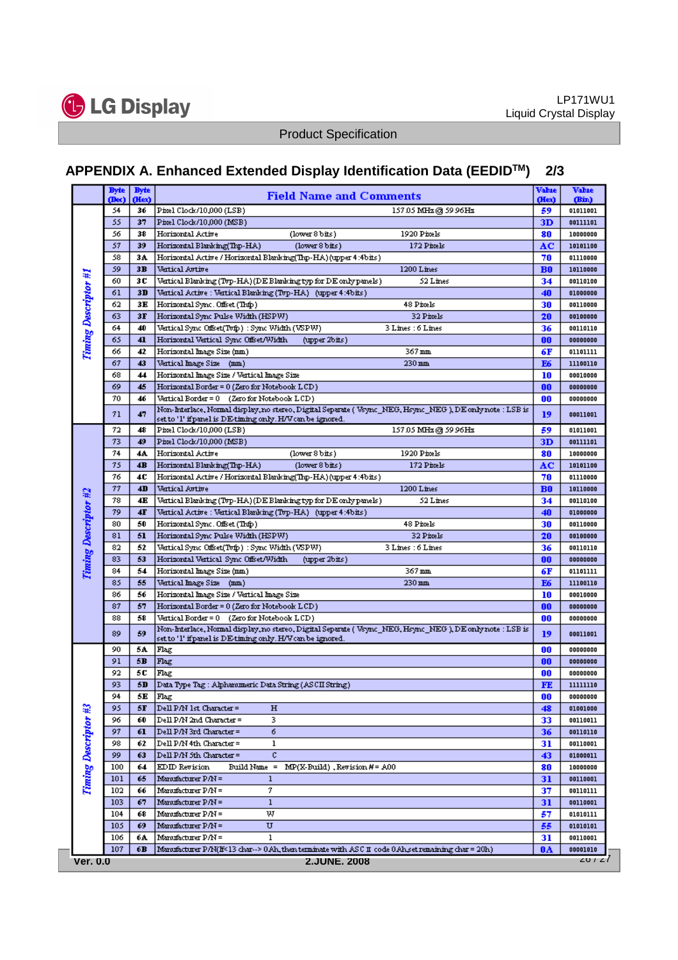

# **APPENDIX A. Enhanced Extended Display Identification Data (EEDIDTM) 2/3**

|                      | <b>Byte</b><br>(Dec)                              | <b>Byte</b><br>(Hex) | <b>Field Name and Comments</b>                                                                                  | Vabie<br>(Hex) | <b>Vabre</b><br>(Bin) |  |  |  |  |
|----------------------|---------------------------------------------------|----------------------|-----------------------------------------------------------------------------------------------------------------|----------------|-----------------------|--|--|--|--|
|                      | 54                                                | 36                   | Pixel Clock/10,000 (LSB)<br>157.05 MHz @ 59.96Hz                                                                | 59             | 01011001              |  |  |  |  |
|                      | 55                                                | 37                   | Pixel Clock/10,000 (MSB)                                                                                        | 3D             | 00111101              |  |  |  |  |
|                      | 56                                                | 38                   | Horizontal Active<br>(lower 8 bits)<br>1920 Pixels                                                              |                | 10000000              |  |  |  |  |
|                      | 57                                                | 39                   | Horizontal Blanking(Thp-HA)<br>172 Pixels                                                                       | 80             |                       |  |  |  |  |
|                      |                                                   |                      | (lower 8 bits)<br>Horizontal Active / Horizontal Blanking(Thp-HA) (upper 4:4bits)                               | AC             | 10101100              |  |  |  |  |
|                      | 58                                                | 34.                  |                                                                                                                 | 70             | 01110000              |  |  |  |  |
|                      | 59                                                | 3B                   | 1200 Lines<br>Vertical Arrtire                                                                                  | <b>B0</b>      | 10110000              |  |  |  |  |
|                      | 60                                                | 3 C                  | Vertical Blanking (Tvp-HA) (DE Blanking typ for DE only panels ).<br>52 Lines                                   | 34             | 00110100              |  |  |  |  |
|                      | 61                                                | 3D                   | Vertical Active : Vertical Blanking (Tvp-HA) - (upper 4:4bits )                                                 | 40             | 01000000              |  |  |  |  |
|                      | 62                                                | 3E                   | 48 Pixels<br>Horizontal Sync. Offset (Thip).                                                                    | 30             | 00110000              |  |  |  |  |
| Timing Descriptor #1 | 63                                                | 3 <b>F</b>           | Horizontal Sync Pulse Width (HSPW)<br>32 Pixels                                                                 | 20             | 00100000              |  |  |  |  |
|                      | 64                                                | 40                   | Vertical Sync Offset(Tvfp) : Sync Width (VSPW)<br>3 Lines : 6 Lines                                             | 36             | 00110110              |  |  |  |  |
|                      | 65                                                | 41                   | Horizontal Vertical Sync Offset/Width<br>(upper 2bits)                                                          | 00             | 00000000              |  |  |  |  |
|                      | 66                                                | 42                   | Horizontal Image Size (mm.)<br>367 mm                                                                           | 6F             | 01101111              |  |  |  |  |
|                      | 67                                                | 43                   | Vertical Image Size (mm)<br>$230 \,\mathrm{mm}$                                                                 | E6<br>10       | 11100110              |  |  |  |  |
|                      | 68                                                | 44                   | Horizordal Image Size / Vertical Image Size                                                                     |                |                       |  |  |  |  |
|                      | 69                                                | 45                   | Horizontal Border = 0 (Zero for Notebook LCD)                                                                   |                |                       |  |  |  |  |
|                      | 70                                                | 46                   | Vertical Border = 0 (Zero for Notebook LCD)                                                                     |                |                       |  |  |  |  |
|                      | 71                                                | 47                   | Non-Interlace, Normal display, no stereo, Digital Separate ( Vsync_NEG, Hsync_NEG ), DE only note : LSB is      | 19             | 00011001              |  |  |  |  |
|                      |                                                   |                      | set to '1' if panel is DE-timing only. H/V can be ignored.                                                      |                |                       |  |  |  |  |
|                      | 72                                                | 48                   | Pixel Clock/10,000 (LSB)<br>157.05 MHz@ 59.96Hz                                                                 | 59             | 01011001              |  |  |  |  |
|                      | 73                                                | 49                   | Pixel Clock/10,000 (MSB)                                                                                        | 3D             | 00111101              |  |  |  |  |
|                      | 74                                                | 4A.                  | Horizontal Active<br>1920 Pixels<br>(lower 8 bits)                                                              | 80             | 10000000              |  |  |  |  |
|                      | 75                                                | 4B                   | Horizontal Blanking(Thp-HA)<br>(lower 8 bits)<br>172 Pixels                                                     | AC             | 10101100              |  |  |  |  |
|                      | 76                                                | 4C                   | Horizordal Active / Horizordal Blanking(Trp-HA) (upper 4:4bits )                                                | 70             | 01110000              |  |  |  |  |
|                      | 77                                                | 4D                   | 1200 Lines<br>Vertical Arrive                                                                                   | B <sub>0</sub> | 10110000              |  |  |  |  |
|                      | 78                                                | 4E                   | Vertical Blanking (Tvp-HA) (DE Blanking typ for DE only panels )<br>52 Lines                                    | 34             | 00110100              |  |  |  |  |
|                      | 79                                                | 4F                   | Vertical Active : Vertical Blanking (Tvp-HA) (upper 4:4bits).                                                   | 40             | 01000000              |  |  |  |  |
|                      | 80                                                | 50                   | 48 Pixels<br>Horizontal Sync. Offset (Thfp )                                                                    | 30             | 00110000              |  |  |  |  |
| Timing Descriptor #2 | 81                                                | 51                   | Horizontal Sync Pulse Width (HSPW)<br>32 Pixels                                                                 | 20             | 00100000              |  |  |  |  |
|                      | 82                                                | 52                   | Vertical Sync Offset(Tvfp) : Sync Width (VSPW)<br>3 Lines : 6 Lines                                             | 36             | 00110110              |  |  |  |  |
|                      | 83                                                | 53                   | Horizontal Vertical Sync Offset/Width<br>(upper 2bits)                                                          | 00             | 00000000              |  |  |  |  |
|                      | 84                                                | 54                   | 367 mm<br>Horizontal Image Size (mm)                                                                            | 6F             | 01101111              |  |  |  |  |
|                      | 85                                                | 55                   | Vertical Image Size (mm)<br>$230 \,\mathrm{mm}$                                                                 | E6             | 11100110              |  |  |  |  |
|                      | 86                                                | 56                   | Horizontal Image Size / Vertical Image Size                                                                     | 10             | 00010000              |  |  |  |  |
|                      | 87                                                | 57                   | Horizontal Border = 0 (Zero for Notebook LCD)                                                                   | 00             | 00000000              |  |  |  |  |
|                      | 88                                                | 58                   | Vertical Border = 0 (Zero for Notebook LCD)                                                                     | 00             | 00000000              |  |  |  |  |
|                      | 89                                                | 59                   | Non-Interlace, Normal display, no stereo, Digital Separate ( Vsync   NEG, Hsync   NEG ), D.E.only note : LSB is | 19             | 00011001              |  |  |  |  |
|                      |                                                   |                      | set to '1' if panel is DE-timing only. H/V can be ignored.                                                      |                |                       |  |  |  |  |
|                      | 90                                                | 5A                   | Flag                                                                                                            | 00             | 00000000              |  |  |  |  |
|                      | 91                                                | 5B                   | Flag                                                                                                            | 00             | 00000000              |  |  |  |  |
|                      | 92                                                | 5C                   | Flag                                                                                                            | 00             | 00000000              |  |  |  |  |
|                      | 93                                                | 5D                   | Data Type Tag : Alpharomeric Data String (ASCII String)                                                         | FE             | 11111110              |  |  |  |  |
|                      | 94                                                | 5Ε                   | Flag                                                                                                            | OO             | 00000000              |  |  |  |  |
|                      | 95                                                | 5F                   | Dell P/N 1st Character =<br>н                                                                                   | 48             | 01001000              |  |  |  |  |
|                      | 96                                                | 60                   | Dell P/N 2nd Character =<br>3.                                                                                  | 33             | 00110011              |  |  |  |  |
|                      | 97                                                | 61                   | 6<br>Dell P/N 3rd Character =                                                                                   | 36             | 00110110              |  |  |  |  |
|                      | 98                                                | 62                   | Dell P/N 4th Character =<br>ı                                                                                   | 31             | 00110001              |  |  |  |  |
|                      | 99                                                | 63                   | c<br>Dell P/N 5th Character =                                                                                   | 43             | 01000011              |  |  |  |  |
| Timing Descriptor #3 | 100                                               | 64                   | EDID Revision<br>Build Name =<br>$MP(X \text{- } Build)$ , Revision $H = A00$                                   | 80             | 10000000              |  |  |  |  |
|                      | 101                                               | 65                   | Manufacturer P/N =<br>1                                                                                         | 31             | 00110001              |  |  |  |  |
|                      | 102                                               | 66                   | 7<br>Manufacturer P/N =                                                                                         | 37             | 00110111              |  |  |  |  |
|                      | 103                                               | 67                   | Manufacturer P/N =<br>1                                                                                         | 31             | 00110001              |  |  |  |  |
|                      | 104                                               | 68                   | w<br>Manufacturer P/N =                                                                                         | 57             | 01010111              |  |  |  |  |
|                      | 105                                               | 69                   | Manufacturer P/N =<br>U                                                                                         | 55             | 01010101              |  |  |  |  |
|                      | 106                                               | 6А                   | Manufacturer P/N =<br>ı                                                                                         | 31             | 00110001              |  |  |  |  |
|                      | 107                                               | 6В                   | Manufacturer P/N(If<13 char--> 0.Ah, then terminate with ASC II code 0.Ah, set remaining char = 20h)            | 0A             | 00001010              |  |  |  |  |
|                      | 20 / 27<br><b>Ver. 0.0</b><br><b>2.JUNE. 2008</b> |                      |                                                                                                                 |                |                       |  |  |  |  |